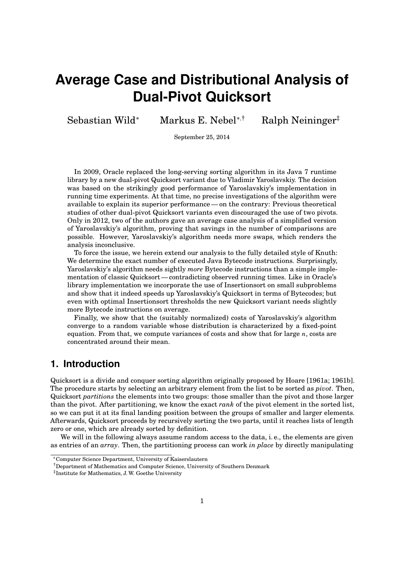# **Average Case and Distributional Analysis of Dual-Pivot Quicksort**

Sebastian Wild<sup>∗</sup> Markus E. Nebel∗,† Ralph Neininger‡

September 25, 2014

In 2009, Oracle replaced the long-serving sorting algorithm in its Java 7 runtime library by a new dual-pivot Quicksort variant due to Vladimir Yaroslavskiy. The decision was based on the strikingly good performance of Yaroslavskiy's implementation in running time experiments. At that time, no precise investigations of the algorithm were available to explain its superior performance— on the contrary: Previous theoretical studies of other dual-pivot Quicksort variants even discouraged the use of two pivots. Only in 2012, two of the authors gave an average case analysis of a simplified version of Yaroslavskiy's algorithm, proving that savings in the number of comparisons are possible. However, Yaroslavskiy's algorithm needs more swaps, which renders the analysis inconclusive.

To force the issue, we herein extend our analysis to the fully detailed style of Knuth: We determine the exact number of executed Java Bytecode instructions. Surprisingly, Yaroslavskiy's algorithm needs sightly *more* Bytecode instructions than a simple implementation of classic Quicksort — contradicting observed running times. Like in Oracle's library implementation we incorporate the use of Insertionsort on small subproblems and show that it indeed speeds up Yaroslavskiy's Quicksort in terms of Bytecodes; but even with optimal Insertionsort thresholds the new Quicksort variant needs slightly more Bytecode instructions on average.

Finally, we show that the (suitably normalized) costs of Yaroslavskiy's algorithm converge to a random variable whose distribution is characterized by a fixed-point equation. From that, we compute variances of costs and show that for large *n*, costs are concentrated around their mean.

# **1. Introduction**

Quicksort is a divide and conquer sorting algorithm originally proposed by Hoare [\[1961a;](#page-39-0) [1961b\]](#page-39-1). The procedure starts by selecting an arbitrary element from the list to be sorted as *pivot*. Then, Quicksort *partitions* the elements into two groups: those smaller than the pivot and those larger than the pivot. After partitioning, we know the exact *rank* of the pivot element in the sorted list, so we can put it at its final landing position between the groups of smaller and larger elements. Afterwards, Quicksort proceeds by recursively sorting the two parts, until it reaches lists of length zero or one, which are already sorted by definition.

We will in the following always assume random access to the data, i.e., the elements are given as entries of an *array*. Then, the partitioning process can work *in place* by directly manipulating

<sup>∗</sup>Computer Science Department, University of Kaiserslautern

<sup>†</sup>Department of Mathematics and Computer Science, University of Southern Denmark

<sup>‡</sup> Institute for Mathematics, J. W. Goethe University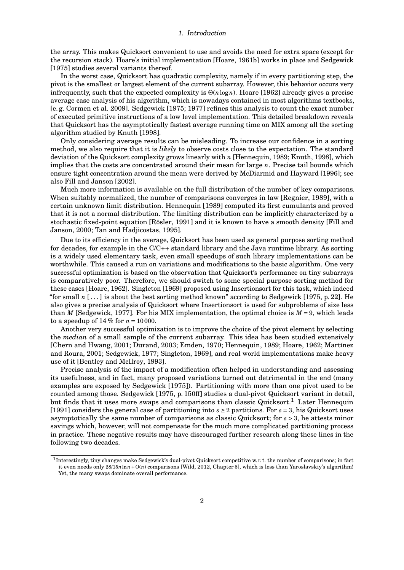#### 1. Introduction

the array. This makes Quicksort convenient to use and avoids the need for extra space (except for the recursion stack). Hoare's initial implementation [\[Hoare, 1961b\]](#page-39-1) works in place and [Sedgewick](#page-40-0) [\[1975\]](#page-40-0) studies several variants thereof.

In the worst case, Quicksort has quadratic complexity, namely if in every partitioning step, the pivot is the smallest or largest element of the current subarray. However, this behavior occurs very infrequently, such that the expected complexity is Θ(*n*log*n*). [Hoare](#page-39-2) [\[1962\]](#page-39-2) already gives a precise average case analysis of his algorithm, which is nowadays contained in most algorithms textbooks, [e. g. [Cormen et al. 2009\]](#page-39-3). Sedgewick [\[1975;](#page-40-0) [1977\]](#page-40-1) refines this analysis to count the exact number of executed primitive instructions of a low level implementation. This detailed breakdown reveals that Quicksort has the asymptotically fastest average running time on MIX among all the sorting algorithm studied by [Knuth](#page-39-4) [\[1998\]](#page-39-4).

Only considering average results can be misleading. To increase our confidence in a sorting method, we also require that it is *likely* to observe costs close to the expectation. The standard deviation of the Quicksort complexity grows linearly with *n* [\[Hennequin, 1989;](#page-39-5) [Knuth, 1998\]](#page-39-4), which implies that the costs are concentrated around their mean for large *n*. Precise tail bounds which ensure tight concentration around the mean were derived by [McDiarmid and Hayward](#page-40-2) [\[1996\]](#page-40-2); see also [Fill and Janson](#page-39-6) [\[2002\]](#page-39-6).

Much more information is available on the full distribution of the number of key comparisons. When suitably normalized, the number of comparisons converges in law [\[Regnier, 1989\]](#page-40-3), with a certain unknown limit distribution. [Hennequin](#page-39-5) [\[1989\]](#page-39-5) computed its first cumulants and proved that it is not a normal distribution. The limiting distribution can be implicitly characterized by a stochastic fixed-point equation [\[Rösler, 1991\]](#page-40-4) and it is known to have a smooth density [\[Fill and](#page-39-7) [Janson, 2000;](#page-39-7) [Tan and Hadjicostas, 1995\]](#page-40-5).

Due to its efficiency in the average, Quicksort has been used as general purpose sorting method for decades, for example in the  $C/C++$  standard library and the Java runtime library. As sorting is a widely used elementary task, even small speedups of such library implementations can be worthwhile. This caused a run on variations and modifications to the basic algorithm. One very successful optimization is based on the observation that Quicksort's performance on tiny subarrays is comparatively poor. Therefore, we should switch to some special purpose sorting method for these cases [\[Hoare, 1962\]](#page-39-2). [Singleton](#page-40-6) [\[1969\]](#page-40-6) proposed using Insertionsort for this task, which indeed "for small *n* [ . . . ] is about the best sorting method known" according to [Sedgewick](#page-40-0) [\[1975,](#page-40-0) p. 22]. He also gives a precise analysis of Quicksort where Insertionsort is used for subproblems of size less than *M* [\[Sedgewick, 1977\]](#page-40-1). For his MIX implementation, the optimal choice is  $M = 9$ , which leads to a speedup of  $14\%$  for  $n = 10000$ .

Another very successful optimization is to improve the choice of the pivot element by selecting the *median* of a small sample of the current subarray. This idea has been studied extensively [\[Chern and Hwang, 2001;](#page-39-8) [Durand, 2003;](#page-39-9) [Emden, 1970;](#page-39-10) [Hennequin, 1989;](#page-39-5) [Hoare, 1962;](#page-39-2) [Martínez](#page-40-7) [and Roura, 2001;](#page-40-7) [Sedgewick, 1977;](#page-40-1) [Singleton, 1969\]](#page-40-6), and real world implementations make heavy use of it [\[Bentley and McIlroy, 1993\]](#page-39-11).

Precise analysis of the impact of a modification often helped in understanding and assessing its usefulness, and in fact, many proposed variations turned out detrimental in the end (many examples are exposed by [Sedgewick](#page-40-0) [\[1975\]](#page-40-0)). Partitioning with more than one pivot used to be counted among those. [Sedgewick](#page-40-0) [\[1975,](#page-40-0) p. 150ff] studies a dual-pivot Quicksort variant in detail, but finds that it uses more swaps and comparisons than classic Quicksort.<sup>[1](#page-1-0)</sup> Later [Hennequin](#page-39-12) [\[1991\]](#page-39-12) considers the general case of partitioning into  $s \geq 2$  partitions. For  $s = 3$ , his Quicksort uses asymptotically the same number of comparisons as classic Quicksort; for *s* > 3, he attests minor savings which, however, will not compensate for the much more complicated partitioning process in practice. These negative results may have discouraged further research along these lines in the following two decades.

<span id="page-1-0"></span><sup>&</sup>lt;sup>1</sup>Interestingly, tiny changes make Sedgewick's dual-pivot Quicksort competitive w.r.t. the number of comparisons; in fact it even needs only 28/15*n*ln*n*+O(*n*) comparisons [\[Wild, 2012,](#page-40-8) Chapter 5], which is less than Yaroslavskiy's algorithm! Yet, the many swaps dominate overall performance.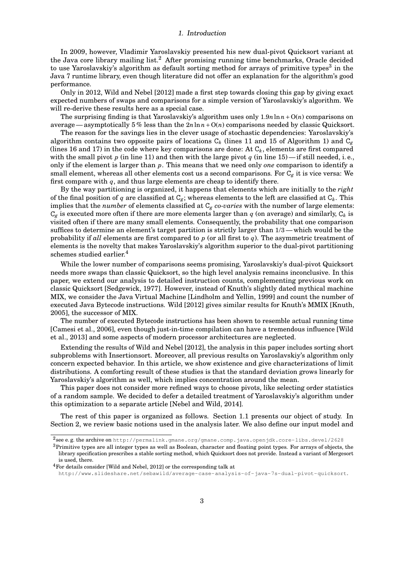#### 1. Introduction

In 2009, however, Vladimir Yaroslavskiy presented his new dual-pivot Quicksort variant at the Java core library mailing list.<sup>[2](#page-2-0)</sup> After promising running time benchmarks, Oracle decided to use Yaroslavskiy's algorithm as default sorting method for arrays of primitive types $^3$  $^3$  in the Java 7 runtime library, even though literature did not offer an explanation for the algorithm's good performance.

Only in 2012, [Wild and Nebel](#page-40-9) [\[2012\]](#page-40-9) made a first step towards closing this gap by giving exact expected numbers of swaps and comparisons for a simple version of Yaroslavskiy's algorithm. We will re-derive these results here as a special case.

The surprising finding is that Yaroslavskiy's algorithm uses only  $1.9n \ln n + O(n)$  comparisons on average — asymptotically 5 % less than the 2*n*ln*n*+O(*n*) comparisons needed by classic Quicksort.

The reason for the savings lies in the clever usage of stochastic dependencies: Yaroslavskiy's algorithm contains two opposite pairs of locations  $C_k$  (lines 11 and 15 of Algorithm [1\)](#page-3-0) and  $C_g$ (lines 16 and 17) in the code where key comparisons are done: At C*k*, elements are first compared with the small pivot p (in line 11) and then with the large pivot q (in line 15)—if still needed, i.e., only if the element is larger than *p*. This means that we need only *one* comparison to identify a small element, whereas all other elements cost us a second comparisons. For C*<sup>g</sup>* it is vice versa: We first compare with  $q$ , and thus large elements are cheap to identify there.

By the way partitioning is organized, it happens that elements which are initially to the *right* of the final position of *q* are classified at  $C_g$ ; whereas elements to the left are classified at  $C_k$ . This implies that the *number* of elements classified at  $C_g$  *co-varies* with the number of large elements:  $C_g$  is executed more often if there are more elements larger than *q* (on average) and similarly,  $C_k$  is visited often if there are many small elements. Consequently, the probability that one comparison suffices to determine an element's target partition is strictly larger than 1/3 — which would be the probability if *all* elements are first compared to *p* (or all first to *q*). The asymmetric treatment of elements is the novelty that makes Yaroslavskiy's algorithm superior to the dual-pivot partitioning schemes studied earlier.<sup>[4](#page-2-2)</sup>

While the lower number of comparisons seems promising, Yaroslavskiy's dual-pivot Quicksort needs more swaps than classic Quicksort, so the high level analysis remains inconclusive. In this paper, we extend our analysis to detailed instruction counts, complementing previous work on classic Quicksort [\[Sedgewick, 1977\]](#page-40-1). However, instead of Knuth's slightly dated mythical machine MIX, we consider the Java Virtual Machine [\[Lindholm and Yellin, 1999\]](#page-40-10) and count the number of executed Java Bytecode instructions. [Wild](#page-40-8) [\[2012\]](#page-40-8) gives similar results for Knuth's MMIX [\[Knuth,](#page-39-13) [2005\]](#page-39-13), the successor of MIX.

The number of executed Bytecode instructions has been shown to resemble actual running time [\[Camesi et al., 2006\]](#page-39-14), even though just-in-time compilation can have a tremendous influence [\[Wild](#page-41-0) [et al., 2013\]](#page-41-0) and some aspects of modern processor architectures are neglected.

Extending the results of [Wild and Nebel](#page-40-9) [\[2012\]](#page-40-9), the analysis in this paper includes sorting short subproblems with Insertionsort. Moreover, all previous results on Yaroslavskiy's algorithm only concern expected behavior. In this article, we show existence and give characterizations of limit distributions. A comforting result of these studies is that the standard deviation grows linearly for Yaroslavskiy's algorithm as well, which implies concentration around the mean.

This paper does not consider more refined ways to choose pivots, like selecting order statistics of a random sample. We decided to defer a detailed treatment of Yaroslavskiy's algorithm under this optimization to a separate article [\[Nebel and Wild, 2014\]](#page-40-11).

The rest of this paper is organized as follows. Section [1.1](#page-3-1) presents our object of study. In Section [2,](#page-4-0) we review basic notions used in the analysis later. We also define our input model and

<span id="page-2-0"></span> $^2$ see e.g. the archive on <code>http://permalink.gmane.org/gmane.comp.java.openjdk.core–libs.devel/2628</code>

<span id="page-2-1"></span><sup>3</sup>Primitive types are all integer types as well as Boolean, character and floating point types. For arrays of objects, the library specification prescribes a stable sorting method, which Quicksort does not provide. Instead a variant of Mergesort is used, there.

<span id="page-2-2"></span><sup>4</sup>For details consider [\[Wild and Nebel, 2012\]](#page-40-9) or the corresponding talk at

<http://www.slideshare.net/sebawild/average-case-analysis-of-java-7s-dual-pivot-quicksort>.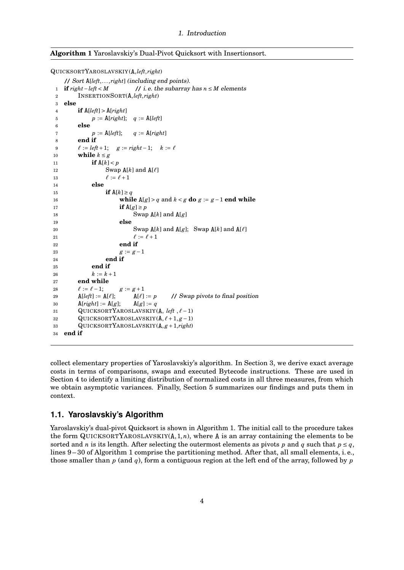```
Algorithm 1 Yaroslavskiy's Dual-Pivot Quicksort with Insertionsort.
```
QUICKSORTYAROSLAVSKIY (A,*left*,*right*)

```
// Sort A[left,...,right] (including end points).
1 if right−left < M // i.e. the subarray has <i>n ≤ M elements <br>2 INSERTIONSORT(A,left,right)
         2 INSERTIONSORT(A,left,right)
3 else
4 if A[left] > A[right]5 p := A[right]; \quad q := A[left]<br>6 else
         6 else
7 p := A[\text{left}]; \quad q := A[\text{right}]8 end if
9 \ell := \text{left} + 1; \quad g := \text{right} - 1; \quad k := \ell<br>10 while k \leq g10 while k \leq g<br>11 if A[k]if A[k] < p12 Swap A[k] and A[`]
13 \ell := \ell + 114 else
15 if A[k] \ge q16 while A[g] > q and k < g do g := g - 1 end while
17 if A[g] \ge p18 Swap A[k] and A[g]
19 else
20 Swap A[k] and A[g]; Swap A[k] and A[`]
21 \ell := \ell + 1<br>22 end if
                         end if
23 g := g - 124 end if
25 end if
26 k := k + 1<br>27 end while
         end while
28 \ell := \ell - 1; g := g + 1<br>
29 \mathbf{A}[\ell] := \mathbf{A}[\ell]; \mathbf{A}[\ell] := p29 A[left] := A[\ell]; A[\ell] := p // Swap pivots to final position<br>30 A[right] := A[g]; A[g] := q30 \text{A}[\text{right}] := \text{A}[g];<br>31 \text{QUICKSORTYA}31 QUICKSORTYAROSLAVSKIY(A, left, \ell−1)<br>32 QUICKSORTYAROSLAVSKIY(A, \ell+1, \sigma−1)
32 QUICKSORTYAROSLAVSKIY(A, \ell + 1, g - 1)<br>33 QUICKSORTYAROSLAVSKIY(A, g + 1, right)
         33 QUICKSORTYAROSLAVSKIY (A, g +1,right)
34 end if
```
collect elementary properties of Yaroslavskiy's algorithm. In Section [3,](#page-6-0) we derive exact average costs in terms of comparisons, swaps and executed Bytecode instructions. These are used in Section [4](#page-16-0) to identify a limiting distribution of normalized costs in all three measures, from which we obtain asymptotic variances. Finally, Section [5](#page-22-0) summarizes our findings and puts them in context.

# <span id="page-3-1"></span>**1.1. Yaroslavskiy's Algorithm**

Yaroslavskiy's dual-pivot Quicksort is shown in Algorithm [1.](#page-3-0) The initial call to the procedure takes the form QUICKSORTYAROSLAVSKIY $(A,1,n)$ , where A is an array containing the elements to be sorted and *n* is its length. After selecting the outermost elements as pivots *p* and *q* such that  $p \leq q$ , lines 9 – 30 of Algorithm [1](#page-3-0) comprise the partitioning method. After that, all small elements, i. e., those smaller than *p* (and *q*), form a contiguous region at the left end of the array, followed by *p*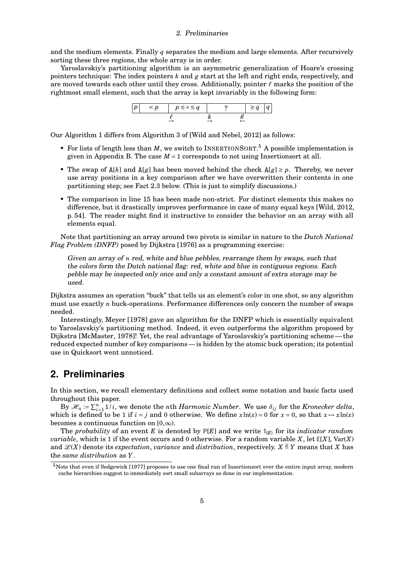#### 2. Preliminaries

and the medium elements. Finally *q* separates the medium and large elements. After recursively sorting these three regions, the whole array is in order.

Yaroslavskiy's partitioning algorithm is an asymmetric generalization of Hoare's crossing pointers technique: The index pointers *k* and *g* start at the left and right ends, respectively, and are moved towards each other until they cross. Additionally, pointer  $\ell$  marks the position of the rightmost small element, such that the array is kept invariably in the following form:

| n | $p \leq \circ \leq q$ |  | $\leq$ |  |
|---|-----------------------|--|--------|--|
|   |                       |  |        |  |

Our Algorithm [1](#page-3-0) differs from Algorithm 3 of [\[Wild and Nebel, 2012\]](#page-40-9) as follows:

- For lists of length less than *M*, we switch to INSERTIONSORT.<sup>[5](#page-4-1)</sup> A possible implementation is given in Appendix [B.](#page-29-0) The case  $M = 1$  corresponds to not using Insertionsort at all.
- The swap of  $A[k]$  and  $A[g]$  has been moved behind the check  $A[g] \geq p$ . Thereby, we never use array positions in a key comparison after we have overwritten their contents in one partitioning step; see Fact [2.3](#page-6-1) below. (This is just to simplify discussions.)
- The comparison in line 15 has been made non-strict. For distinct elements this makes no difference, but it drastically improves performance in case of many equal keys [\[Wild, 2012,](#page-40-8) p. 54]. The reader might find it instructive to consider the behavior on an array with all elements equal.

Note that partitioning an array around two pivots is similar in nature to the *Dutch National Flag Problem (DNFP)* posed by [Dijkstra](#page-39-15) [\[1976\]](#page-39-15) as a programming exercise:

Given an array of *n* red, white and blue pebbles, rearrange them by swaps, such that the colors form the Dutch national flag: red, white and blue in contiguous regions. Each pebble may be inspected only once and only a constant amount of extra storage may be used.

Dijkstra assumes an operation "buck" that tells us an element's color in one shot, so any algorithm must use exactly *n* buck-operations. Performance differences only concern the number of swaps needed.

Interestingly, [Meyer](#page-40-12) [\[1978\]](#page-40-12) gave an algorithm for the DNFP which is essentially equivalent to Yaroslavskiy's partitioning method. Indeed, it even outperforms the algorithm proposed by Dijkstra [\[McMaster, 1978\]](#page-40-13)! Yet, the real advantage of Yaroslavskiy's partitioning scheme— the reduced expected number of key comparisons — is hidden by the atomic buck operation; its potential use in Quicksort went unnoticed.

# <span id="page-4-0"></span>**2. Preliminaries**

In this section, we recall elementary definitions and collect some notation and basic facts used throughout this paper.

By  $\mathcal{H}_n := \sum_{i=1}^n 1/i$ , we denote the *n*th *Harmonic Number*. We use  $\delta_{ij}$  for the *Kronecker delta*, which is defined to be 1 if  $i = j$  and 0 otherwise. We define  $x \ln(x) = 0$  for  $x = 0$ , so that  $x \rightarrow x \ln(x)$ becomes a continuous function on  $[0, \infty)$ .

The *probability* of an event *E* is denoted by  $P[E]$  and we write  $\mathbb{I}_{E}$  for its *indicator random variable*, which is 1 if the event occurs and 0 otherwise. For a random variable *X*, let  $E[X]$ , Var $(X)$ and  $\mathscr{L}(X)$  denote its *expectation*, *variance* and *distribution*, respectively.  $X \stackrel{\mathscr{Q}}{=} Y$  means that  $X$  has the *same distribution* as *Y*.

<span id="page-4-1"></span><sup>5</sup>Note that even if [Sedgewick](#page-40-1) [\[1977\]](#page-40-1) proposes to use one final run of Insertionsort over the entire input array, modern cache hierarchies suggest to immediately sort small subarrays as done in our implementation.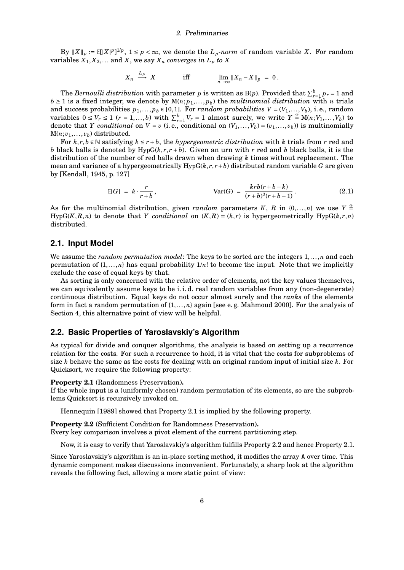By  $||X||_p := \mathbb{E}[|X|^p]^{1/p}$ ,  $1 \le p < \infty$ , we denote the  $L_p$ *-norm* of random variable *X*. For random variables  $X_1, X_2, \ldots$  and  $X$ , we say  $X_n$  *converges in*  $L_p$  *to*  $X$ 

$$
X_n \stackrel{L_p}{\longrightarrow} X \qquad \text{iff} \qquad \lim_{n \to \infty} \|X_n - X\|_p = 0 \,.
$$

The *Bernoulli distribution* with parameter *p* is written as B(*p*). Provided that  $\sum_{r=1}^{b} p_r = 1$  and *h* ≥ 1 is a fixed integer, we denote by  $M(n; p_1, ..., p_b)$  the *multinomial distribution* with *n* trials and success probabilities  $p_1, \ldots, p_b \in [0,1]$ . For *random probabilities*  $V = (V_1, \ldots, V_b)$ , i.e., random variables  $0 \le V_r \le 1$  ( $r = 1,...,b$ ) with  $\sum_{r=1}^{b} V_r = 1$  almost surely, we write  $Y \stackrel{\mathscr{D}}{=} M(n; V_1,..., V_b)$  to denote that *Y conditional* on *V* = *v* (i.e., conditional on  $(V_1,...,V_b) = (v_1,...,v_b)$ ) is multinomially  $M(n; v_1, \ldots, v_b)$  distributed.

For  $k, r, b \in \mathbb{N}$  satisfying  $k \leq r + b$ , the *hypergeometric distribution* with *k* trials from *r* red and *b* black balls is denoted by HypG(*k*, *r*, *r* + *b*). Given an urn with *r* red and *b* black balls, it is the distribution of the number of red balls drawn when drawing *k* times without replacement. The mean and variance of a hypergeometrically HypG(*k*, *r*, *r*+*b*) distributed random variable *G* are given by [\[Kendall, 1945,](#page-39-16) p. 127]

<span id="page-5-2"></span>
$$
\mathbb{E}[G] = k \cdot \frac{r}{r+b}, \qquad \text{Var}(G) = \frac{krb(r+b-k)}{(r+b)^2(r+b-1)}.
$$
 (2.1)

As for the multinomial distribution, given *random* parameters *K*, *R* in {0,...,*n*} we use  $Y \triangleq$ HypG(*K*,*R*,*n*) to denote that *Y conditional* on  $(K,R) = (k,r)$  is hypergeometrically HypG( $k,r,n$ ) distributed.

# **2.1. Input Model**

We assume the *random permutation model*: The keys to be sorted are the integers  $1, \ldots, n$  and each permutation of  $\{1,\ldots,n\}$  has equal probability  $1/n!$  to become the input. Note that we implicitly exclude the case of equal keys by that.

As sorting is only concerned with the relative order of elements, not the key values themselves, we can equivalently assume keys to be i. i. d. real random variables from any (non-degenerate) continuous distribution. Equal keys do not occur almost surely and the *ranks* of the elements form in fact a random permutation of {1,...,*n*} again [see e. g. [Mahmoud 2000\]](#page-40-14). For the analysis of Section [4,](#page-16-0) this alternative point of view will be helpful.

# **2.2. Basic Properties of Yaroslavskiy's Algorithm**

As typical for divide and conquer algorithms, the analysis is based on setting up a recurrence relation for the costs. For such a recurrence to hold, it is vital that the costs for subproblems of size *k* behave the same as the costs for dealing with an original random input of initial size *k*. For Quicksort, we require the following property:

#### <span id="page-5-0"></span>**Property 2.1** (Randomness Preservation)**.**

If the whole input is a (uniformly chosen) random permutation of its elements, so are the subproblems Quicksort is recursively invoked on.

[Hennequin](#page-39-5) [\[1989\]](#page-39-5) showed that Property [2.1](#page-5-0) is implied by the following property.

<span id="page-5-1"></span>**Property 2.2** (Sufficient Condition for Randomness Preservation)**.** Every key comparison involves a pivot element of the current partitioning step.

Now, it is easy to verify that Yaroslavskiy's algorithm fulfills Property [2.2](#page-5-1) and hence Property [2.1.](#page-5-0)

Since Yaroslavskiy's algorithm is an in-place sorting method, it modifies the array A over time. This dynamic component makes discussions inconvenient. Fortunately, a sharp look at the algorithm reveals the following fact, allowing a more static point of view: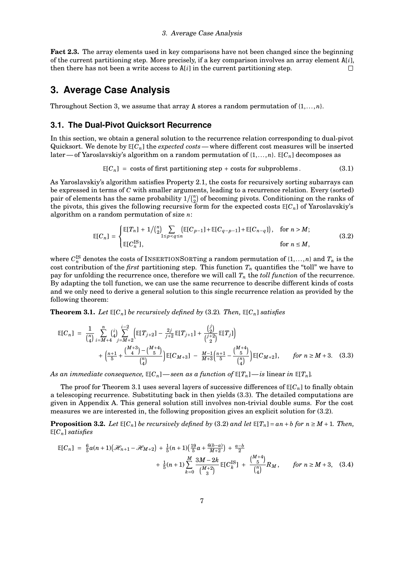<span id="page-6-1"></span>**Fact 2.3.** The array elements used in key comparisons have not been changed since the beginning of the current partitioning step. More precisely, if a key comparison involves an array element A[*i*], then there has not been a write access to A[*i*] in the current partitioning step.  $\Box$ 

# <span id="page-6-0"></span>**3. Average Case Analysis**

Throughout Section 3, we assume that array A stores a random permutation of {1,...,*n*}.

# **3.1. The Dual-Pivot Quicksort Recurrence**

In this section, we obtain a general solution to the recurrence relation corresponding to dual-pivot Quicksort. We denote by  $E[C_n]$  the *expected costs* — where different cost measures will be inserted later — of Yaroslavskiy's algorithm on a random permutation of  $\{1,\ldots,n\}$ .  $\mathbb{E}[C_n]$  decomposes as

<span id="page-6-2"></span>
$$
\mathbb{E}[C_n] = \text{costs of first partitioning step} + \text{costs for subproblems}. \tag{3.1}
$$

As Yaroslavskiy's algorithm satisfies Property [2.1,](#page-5-0) the costs for recursively sorting subarrays can be expressed in terms of *C* with smaller arguments, leading to a recurrence relation. Every (sorted) pair of elements has the same probability  $1/\binom{n}{2}$  of becoming pivots. Conditioning on the ranks of the pivots, this gives the following recursive form for the expected costs  $\mathbb{E}[C_n]$  of Yaroslavskiy's algorithm on a random permutation of size *n*:

<span id="page-6-4"></span>
$$
\mathbb{E}[C_n] = \begin{cases} \mathbb{E}[T_n] + 1/{n \choose 2} \sum_{1 \le p < q \le n} \big( \mathbb{E}[C_{p-1}] + \mathbb{E}[C_{q-p-1}] + \mathbb{E}[C_{n-q}] \big), & \text{for } n > M; \\ \mathbb{E}[C_n^{\text{IS}}], & \text{for } n \le M, \end{cases} \tag{3.2}
$$

where  $C^{\text{IS}}_{n}$  denotes the costs of INSERTIONSORTing a random permutation of  $\{1,\ldots,n\}$  and  $T_{n}$  is the cost contribution of the *first* partitioning step. This function  $T_n$  quantifies the "toll" we have to pay for unfolding the recurrence once, therefore we will call *T<sup>n</sup>* the *toll function* of the recurrence. By adapting the toll function, we can use the same recurrence to describe different kinds of costs and we only need to derive a general solution to this single recurrence relation as provided by the following theorem:

<span id="page-6-3"></span>**Theorem 3.1.** Let  $\mathbb{E}[C_n]$  be recursively defined by [\(3.2\)](#page-6-2). Then,  $\mathbb{E}[C_n]$  satisfies

$$
\mathbb{E}[C_n] = \frac{1}{\binom{n}{4}} \sum_{i=M+4}^{n} \binom{i}{4} \sum_{j=M+2}^{i-2} \left( \mathbb{E}[T_{j+2}] - \frac{2j}{j+2} \mathbb{E}[T_{j+1}] + \frac{\binom{j}{2}}{\binom{j+2}{2}} \mathbb{E}[T_j] \right) + \left( \frac{n+1}{5} + \frac{\binom{M+3}{4} - \binom{M+4}{5}}{\binom{n}{4}} \right) \mathbb{E}[C_{M+3}] - \frac{M-1}{M+3} \left( \frac{n+1}{5} - \frac{\binom{M+4}{5}}{\binom{n}{4}} \right) \mathbb{E}[C_{M+2}], \quad \text{for } n \ge M+3. \quad (3.3)
$$

As an immediate consequence,  $\mathbb{E}[C_n]$  *— seen as a function of*  $\mathbb{E}[T_n]$  *— is* linear in  $\mathbb{E}[T_n]$ *.* 

The proof for Theorem [3.1](#page-6-3) uses several layers of successive differences of  $E[C_n]$  to finally obtain a telescoping recurrence. Substituting back in then yields [\(3.3\)](#page-6-4). The detailed computations are given in Appendix [A.](#page-25-0) This general solution still involves non-trivial double sums. For the cost measures we are interested in, the following proposition gives an explicit solution for [\(3.2\)](#page-6-2).

<span id="page-6-6"></span>**Proposition 3.2.** Let  $\mathbb{E}[C_n]$  be recursively defined by [\(3.2\)](#page-6-2) and let  $\mathbb{E}[T_n] = an + b$  for  $n \geq M + 1$ . Then, E[*Cn*] *satisfies*

<span id="page-6-5"></span>
$$
\mathbb{E}[C_n] = \frac{6}{5}a(n+1)(\mathcal{H}_{n+1} - \mathcal{H}_{M+2}) + \frac{1}{5}(n+1)(\frac{19}{5}a + \frac{6(b-a)}{M+2}) + \frac{a-b}{2}
$$
  
+  $\frac{1}{5}(n+1)\sum_{k=0}^{M} \frac{3M-2k}{\binom{M+2}{3}} \mathbb{E}[C_k^{IS}] + \frac{\binom{M+4}{5}}{\binom{n}{4}} R_M$ , for  $n \ge M+3$ , (3.4)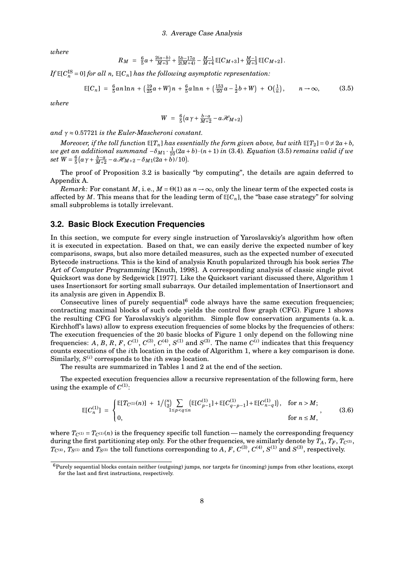*where*

$$
R_M = \frac{6}{5}a + \frac{2(a-b)}{M+3} + \frac{5b-17a}{2(M+4)} - \frac{M-1}{M+4}\mathbb{E}[C_{M+3}] + \frac{M-1}{M+3}\mathbb{E}[C_{M+2}].
$$

 $If \mathbb{E}[C^{\text{IS}}_n = 0]$  for all  $n$ ,  $\mathbb{E}[C_n]$  has the following asymptotic representation:

$$
\mathbb{E}[C_n] = \frac{6}{5} a n \ln n + \left(\frac{19}{25} a + W\right) n + \frac{6}{5} a \ln n + \left(\frac{153}{50} a - \frac{1}{2} b + W\right) + O\left(\frac{1}{n}\right), \qquad n \to \infty,
$$
 (3.5)

*where*

<span id="page-7-0"></span>
$$
W = \frac{6}{5} \big( a \gamma + \frac{b-a}{M+2} - a \mathcal{H}_{M+2} \big)
$$

*and γ* ≈ 0.57721 *is the Euler-Mascheroni constant.*

*Moreover, if the toll function*  $E[T_n]$  *has essentially the form given above, but with*  $E[T_2] = 0 \neq 2a + b$ *, we get an additional summand* −*δM*<sup>1</sup> · 1 <sup>10</sup> (2*a* + *b*)·(*n*+1) *in* [\(3.4\)](#page-6-5)*. Equation* [\(3.5\)](#page-7-0) *remains valid if we*  $set W = \frac{6}{5} (a\gamma + \frac{b-a}{M+2} - a\mathcal{H}_{M+2} - \delta_{M1}(2a+b)/10).$ 

The proof of Proposition [3.2](#page-6-6) is basically "by computing", the details are again deferred to Appendix [A.](#page-25-0)

*Remark:* For constant *M*, i.e.,  $M = \Theta(1)$  as  $n \to \infty$ , only the linear term of the expected costs is affected by *M*. This means that for the leading term of  $E[C_n]$ , the "base case strategy" for solving small subproblems is totally irrelevant.

#### <span id="page-7-2"></span>**3.2. Basic Block Execution Frequencies**

In this section, we compute for every single instruction of Yaroslavskiy's algorithm how often it is executed in expectation. Based on that, we can easily derive the expected number of key comparisons, swaps, but also more detailed measures, such as the expected number of executed Bytecode instructions. This is the kind of analysis Knuth popularized through his book series The Art of Computer Programming [\[Knuth, 1998\]](#page-39-4). A corresponding analysis of classic single pivot Quicksort was done by [Sedgewick](#page-40-1) [\[1977\]](#page-40-1). Like the Quicksort variant discussed there, Algorithm [1](#page-3-0) uses Insertionsort for sorting small subarrays. Our detailed implementation of Insertionsort and its analysis are given in Appendix [B.](#page-29-0)

Consecutive lines of purely sequential<sup>[6](#page-7-1)</sup> code always have the same execution frequencies; contracting maximal blocks of such code yields the control flow graph (CFG). Figure [1](#page-8-0) shows the resulting CFG for Yaroslavskiy's algorithm. Simple flow conservation arguments (a. k. a. Kirchhoff's laws) allow to express execution frequencies of some blocks by the frequencies of others: The execution frequencies of the 20 basic blocks of Figure [1](#page-8-0) only depend on the following nine frequencies: *A*, *B*, *R*, *F*,  $C^{(1)}$ ,  $C^{(3)}$ ,  $C^{(4)}$ ,  $S^{(1)}$  and  $S^{(3)}$ . The name  $C^{(i)}$  indicates that this frequency counts executions of the *i*th location in the code of Algorithm [1,](#page-3-0) where a key comparison is done. Similarly,  $S^{(i)}$  corresponds to the *i*th swap location.

The results are summarized in Tables [1](#page-13-0) and [2](#page-13-1) at the end of the section.

The expected execution frequencies allow a recursive representation of the following form, here using the example of  $C^{(1)}$ :

$$
\mathbb{E}[C_n^{(1)}] = \begin{cases} \mathbb{E}[T_{C^{(1)}}(n)] + 1/\binom{n}{2} \sum_{1 \le p < q \le n} \left( \mathbb{E}[C_{p-1}^{(1)}] + \mathbb{E}[C_{q-p-1}^{(1)}] + \mathbb{E}[C_{n-q}^{(1)}] \right), & \text{for } n > M; \\ 0, & \text{for } n \le M, \end{cases} \tag{3.6}
$$

where  $T_{C^{(1)}} = T_{C^{(1)}}(n)$  is the frequency specific toll function—namely the corresponding frequency during the first partitioning step only. For the other frequencies, we similarly denote by  $T_A$ ,  $T_F$ ,  $T_{C^{(3)}},$  $T_{C^{(4)}},\,T_{S^{(1)}}$  and  $T_{S^{(3)}}$  the toll functions corresponding to  $A,\,F,\,C^{(3)},\,C^{(4)},\,S^{(1)}$  and  $S^{(3)},$  respectively.

<span id="page-7-1"></span> $6$ Purely sequential blocks contain neither (outgoing) jumps, nor targets for (incoming) jumps from other locations, except for the last and first instructions, respectively.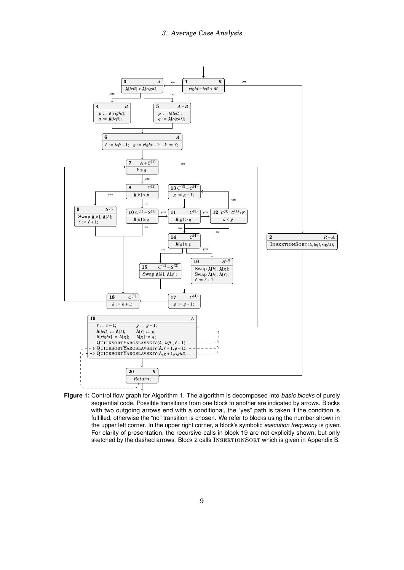# <span id="page-8-19"></span><span id="page-8-18"></span><span id="page-8-16"></span><span id="page-8-14"></span><span id="page-8-10"></span><span id="page-8-8"></span><span id="page-8-2"></span>3. Average Case Analysis

<span id="page-8-13"></span><span id="page-8-12"></span><span id="page-8-7"></span><span id="page-8-6"></span><span id="page-8-5"></span><span id="page-8-3"></span>

<span id="page-8-20"></span><span id="page-8-17"></span><span id="page-8-15"></span><span id="page-8-11"></span><span id="page-8-9"></span><span id="page-8-4"></span><span id="page-8-1"></span><span id="page-8-0"></span>**Figure 1:** Control flow graph for Algorithm [1.](#page-3-0) The algorithm is decomposed into *basic blocks* of purely sequential code. Possible transitions from one block to another are indicated by arrows. Blocks with two outgoing arrows end with a conditional, the "yes" path is taken if the condition is fulfilled, otherwise the "no" transition is chosen. We refer to blocks using the number shown in the upper left corner. In the upper right corner, a block's symbolic *execution frequency* is given. For clarity of presentation, the recursive calls in block [19](#page-8-1) are not explicitly shown, but only sketched by the dashed arrows. Block [2](#page-8-2) calls INSERTIONSORT which is given in Appendix [B.](#page-29-0)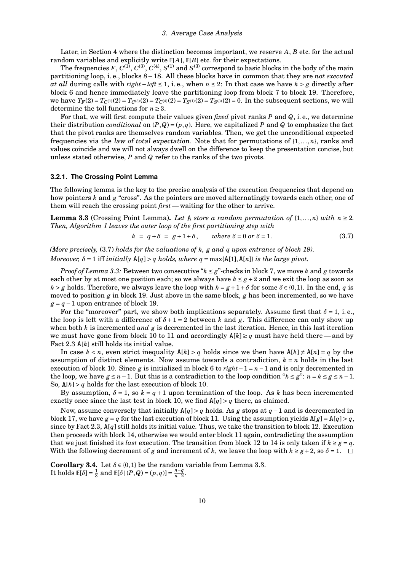#### 3. Average Case Analysis

Later, in Section [4](#page-16-0) where the distinction becomes important, we reserve *A*, *B* etc. for the actual random variables and explicitly write  $E[A]$ ,  $E[B]$  etc. for their expectations.

The frequencies  $F$  ,  $C^{(1)}$  ,  $C^{(3)}$  ,  $C^{(4)}$  ,  $S^{(1)}$  and  $S^{(3)}$  correspond to basic blocks in the body of the main partitioning loop, i. e., blocks [8](#page-8-3) – [18.](#page-8-4) All these blocks have in common that they are *not executed at all* during calls with *right* − *left* ≤ 1, i. e., when *n* ≤ 2: In that case we have *k* > *g* directly after block [6](#page-8-5) and hence immediately leave the partitioning loop from block [7](#page-8-6) to block [19.](#page-8-1) Therefore, we have  $T_F(2) = T_C(1)(2) = T_C(3)(2) = T_C(4)(2) = T_S(1)(2) = T_S(3)(2) = 0$ . In the subsequent sections, we will determine the toll functions for  $n \geq 3$ .

For that, we will first compute their values given *fixed* pivot ranks *P* and *Q*, i. e., we determine their distribution *conditional* on  $(P,Q) = (p,q)$ . Here, we capitalized P and Q to emphasize the fact that the pivot ranks are themselves random variables. Then, we get the unconditional expected frequencies via the law of total expectation. Note that for permutations of {1,...,*n*}, ranks and values coincide and we will not always dwell on the difference to keep the presentation concise, but unless stated otherwise, *P* and *Q* refer to the ranks of the two pivots.

#### **3.2.1. The Crossing Point Lemma**

The following lemma is the key to the precise analysis of the execution frequencies that depend on how pointers *k* and *g* "cross". As the pointers are moved alternatingly towards each other, one of them will reach the crossing point *first*— waiting for the other to arrive.

<span id="page-9-1"></span>**Lemma 3.3** (Crossing Point Lemma). Let A store a random permutation of  $\{1, \ldots, n\}$  with  $n \geq 2$ . *Then, Algorithm [1](#page-3-0) leaves the outer loop of the first partitioning step with*

<span id="page-9-0"></span>
$$
k = q + \delta = g + 1 + \delta, \qquad \text{where } \delta = 0 \text{ or } \delta = 1. \tag{3.7}
$$

*(More precisely,* [\(3.7\)](#page-9-0) *holds for the valuations of k, g and q upon entrance of block [19\)](#page-8-1).*

*Moreover,*  $\delta = 1$  iff *initially*  $A[q] > q$  *holds, where*  $q = max\{A[1], A[n]\}\$  *is the large pivot.* 

*Proof of Lemma* [3.3:](#page-9-1) Between two consecutive " $k \leq g$ "-checks in block [7,](#page-8-6) we move k and g towards each other by at most one position each; so we always have  $k \leq g+2$  and we exit the loop as soon as  $k > g$  holds. Therefore, we always leave the loop with  $k = g + 1 + \delta$  for some  $\delta \in \{0, 1\}$ . In the end, *q* is moved to position *g* in block [19.](#page-8-1) Just above in the same block, *g* has been incremented, so we have  $g = q - 1$  upon entrance of block [19.](#page-8-1)

For the "moreover" part, we show both implications separately. Assume first that  $\delta = 1$ , i.e., the loop is left with a difference of  $\delta + 1 = 2$  between *k* and *g*. This difference can only show up when both *k* is incremented *and g* is decremented in the last iteration. Hence, in this last iteration we must have gone from block [10](#page-8-7) to [11](#page-8-8) and accordingly  $A[k] \geq q$  must have held there—and by Fact [2.3](#page-6-1) A[*k*] still holds its initial value.

In case  $k < n$ , even strict inequality  $A[k] > q$  holds since we then have  $A[k] \neq A[n] = q$  by the assumption of distinct elements. Now assume towards a contradiction,  $k = n$  holds in the last execution of block [10.](#page-8-7) Since *g* is initialized in block [6](#page-8-5) to *right*−1 = *n*−1 and is only decremented in the loop, we have  $g \le n-1$ . But this is a contradiction to the loop condition " $k \le g$ ":  $n = k \le g \le n-1$ . So,  $A[k] > q$  holds for the last execution of block [10.](#page-8-7)

By assumption,  $\delta = 1$ , so  $k = q + 1$  upon termination of the loop. As k has been incremented exactly once since the last test in block [10,](#page-8-7) we find  $A[q] > q$  there, as claimed.

Now, assume conversely that initially  $A[q] > q$  holds. As *g* stops at  $q - 1$  and is decremented in block [17,](#page-8-9) we have  $g = q$  for the last execution of block 11. Using the assumption yields  $A[g] = A[q] > q$ , since by Fact [2.3,](#page-6-1) A[*q*] still holds its initial value. Thus, we take the transition to block [12.](#page-8-10) Execution then proceeds with block [14,](#page-8-11) otherwise we would enter block [11](#page-8-8) again, contradicting the assumption that we just finished its *last* execution. The transition from block [12](#page-8-10) to [14](#page-8-11) is only taken if  $k \geq g = q$ . With the following decrement of *g* and increment of *k*, we leave the loop with  $k \geq g + 2$ , so  $\delta = 1$ .  $\Box$ 

<span id="page-9-2"></span>**Corollary 3.4.** Let  $\delta \in \{0,1\}$  be the random variable from Lemma [3.3.](#page-9-1) It holds  $\mathbb{E}[\delta] = \frac{1}{3}$  and  $\mathbb{E}[\delta | (P,Q) = (p,q)] = \frac{n-q}{n-2}$  $\frac{n-q}{n-2}$ .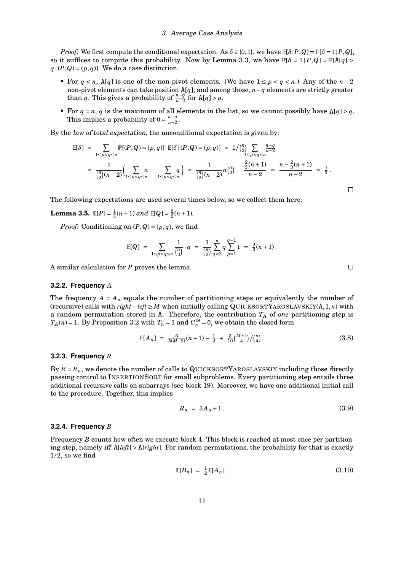*Proof:* We first compute the conditional expectation. As  $\delta \in \{0, 1\}$ , we have  $\mathbb{E}[\delta | P, Q] = \mathbb{P}[\delta = 1 | P, Q]$ , so it suffices to compute this probability. Now by Lemma [3.3,](#page-9-1) we have  $P[\delta = 1 | P, Q] = P[A[q] >$  $q | (P,Q) = (p,q)$ . We do a case distinction.

- For  $q < n$ , A[q] is one of the non-pivot elements. (We have  $1 \leq p < q < n$ .) Any of the  $n-2$ non-pivot elements can take position A[*q*], and among those, *<sup>n</sup>*−*<sup>q</sup>* elements are strictly greater than *q*. This gives a probability of  $\frac{n-q}{n-2}$  for A[*q*] > *q*.
- For  $q = n$ ,  $q$  is the maximum of all elements in the list, so we cannot possibly have  $A[q] > q$ . This implies a probability of  $0 = \frac{n-q}{n-2}$  $\frac{n-q}{n-2}$ .

By the law of total expectation, the unconditional expectation is given by:

$$
\mathbb{E}[\delta] = \sum_{1 \le p < q \le n} \mathbb{P}[(P,Q) = (p,q)] \cdot \mathbb{E}[\delta | (P,Q) = (p,q)] = 1 / \binom{n}{2} \sum_{1 \le p < q \le n} \frac{n-q}{n-2}
$$
\n
$$
= \frac{1}{\binom{n}{2}(n-2)} \left( \sum_{1 \le p < q \le n} n - \sum_{1 \le p < q \le n} q \right) = \frac{1}{\binom{n}{2}(n-2)} n \binom{n}{2} - \frac{\frac{2}{3}(n+1)}{n-2} = \frac{n-\frac{2}{3}(n+1)}{n-2} = \frac{1}{3}.
$$

The following expectations are used several times below, so we collect them here.

<span id="page-10-0"></span>**Lemma 3.5.**  $\mathbb{E}[P] = \frac{1}{3}(n+1)$  and  $\mathbb{E}[Q] = \frac{2}{3}(n+1)$ *.* 

*Proof:* Conditioning on  $(P,Q) = (p,q)$ , we find

$$
\mathbb{E}[Q] \;=\; \sum_{1\le p< q \le n} \frac{1}{\binom{n}{2}} \cdot q \;\;=\; \frac{1}{\binom{n}{2}} \sum_{q=2}^n q \sum_{p=1}^{q-1} 1 \;\;=\;\frac{2}{3} (n+1)\,.
$$

A similar calculation for *P* proves the lemma.

### **3.2.2. Frequency** *A*

The frequency  $A = A_n$  equals the number of partitioning steps or equivalently the number of (recursive) calls with *right*−*left* <sup>≥</sup> *<sup>M</sup>* when initially calling QUICKSORTYAROSLAVSKIY(A,1,*n*) with a random permutation stored in A. Therefore, the contribution *T<sup>A</sup>* of *one* partitioning step is  $T_A(n) = 1$ . By Proposition [3.2](#page-6-6) with  $T_n = 1$  and  $C_n^{\text{IS}} = 0$ , we obtain the closed form

$$
\mathbb{E}[A_n] = \frac{6}{5(M+2)}(n+1) - \frac{1}{2} + \frac{3}{10} {M+1 \choose 4} / {n \choose 4}. \tag{3.8}
$$

#### **3.2.3. Frequency** *R*

By  $R = R_n$ , we denote the number of calls to QUICKSORTYAROSLAVSKIY including those directly passing control to INSERTIONSORT for small subproblems. Every partitioning step entails three additional recursive calls on subarrays (see block [19\)](#page-8-1). Moreover, we have one additional initial call to the procedure. Together, this implies

$$
R_n = 3A_n + 1. \t\t(3.9)
$$

#### **3.2.4. Frequency** *B*

Frequency *B* counts how often we execute block [4.](#page-8-12) This block is reached at most once per partitioning step, namely iff A[*left*] <sup>&</sup>gt; A[*right*]. For random permutations, the probability for that is exactly  $1/2$ , so we find

$$
\mathbb{E}[B_n] = \frac{1}{2} \mathbb{E}[A_n]. \tag{3.10}
$$

 $\Box$ 

 $\Box$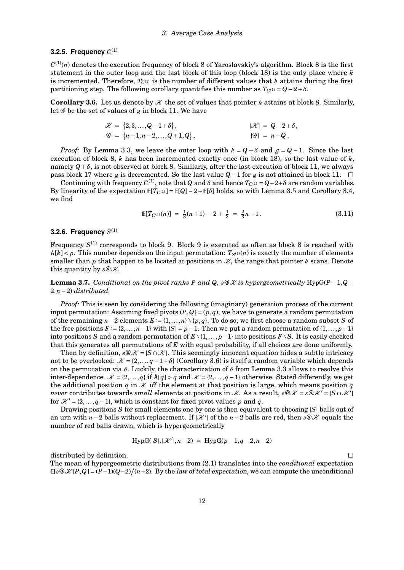#### 3. Average Case Analysis

### **3.2.5. Frequency**  $C^{(1)}$

 $C^{(1)}(n)$  denotes the execution frequency of block [8](#page-8-3) of Yaroslavskiy's algorithm. Block 8 is the first statement in the outer loop and the last block of this loop (block [18\)](#page-8-4) is the only place where *k* is incremented. Therefore,  $T_{C^{(1)}}$  is the number of different values that *k* attains during the first partitioning step. The following corollary quantifies this number as  $T_C(1) = Q - 2 + \delta$ .

<span id="page-11-0"></span>**Corollary 3.6.** Let us denote by  $\mathcal{K}$  the set of values that pointer k attains at block [8.](#page-8-3) Similarly, let  $\mathscr G$  be the set of values of  $\mathscr g$  in block [11.](#page-8-8) We have

$$
\mathcal{K} = \{2, 3, ..., Q - 1 + \delta\}, \qquad |\mathcal{K}| = Q - 2 + \delta,
$$
  

$$
\mathcal{G} = \{n - 1, n - 2, ..., Q + 1, Q\}, \qquad |\mathcal{G}| = n - Q.
$$

*Proof:* By Lemma [3.3,](#page-9-1) we leave the outer loop with  $k = Q + \delta$  and  $g = Q - 1$ . Since the last execution of block [8,](#page-8-3) *k* has been incremented exactly once (in block [18\)](#page-8-4), so the last value of *k*, namely  $Q + \delta$ , is not observed at block [8.](#page-8-3) Similarly, after the last execution of block [11,](#page-8-8) we always pass block [17](#page-8-9) where *g* is decremented. So the last value  $Q - 1$  for *g* is not attained in block [11.](#page-8-8) □

Continuing with frequency  $C^{(1)}$ , note that *Q* and *δ* and hence  $T_{C^{(1)}} = Q - 2 + \delta$  are random variables. By linearity of the expectation  $\mathbb{E}[T_{C^{(1)}}] = \mathbb{E}[Q] - 2 + \mathbb{E}[\delta]$  holds, so with Lemma [3.5](#page-10-0) and Corollary [3.4,](#page-9-2) we find

$$
\mathbb{E}[T_{C^{(1)}}(n)] = \frac{1}{3}(n+1) - 2 + \frac{1}{3} = \frac{2}{3}n - 1. \tag{3.11}
$$

### **3.2.6. Frequency** *S* (1)

Frequency  $S^{(1)}$  corresponds to block [9.](#page-8-13) Block [9](#page-8-13) is executed as often as block [8](#page-8-3) is reached with  $A[k] < p$ . This number depends on the input permutation:  $T_S(0(n))$  is exactly the number of elements smaller than *p* that happen to be located at positions in  $\mathcal{K}$ , the range that pointer *k* scans. Denote this quantity by  $s@K$ .

<span id="page-11-1"></span>**Lemma 3.7.** *Conditional on the pivot ranks P* and *Q*,  $s \mathcal{QK}$  *is hypergeometrically* HypG(*P* − 1,*Q* − 2,*n*−2) *distributed.*

*Proof:* This is seen by considering the following (imaginary) generation process of the current input permutation: Assuming fixed pivots  $(P,Q) = (p,q)$ , we have to generate a random permutation of the remaining *n*−2 elements *E* := {1,...,*n*} \ {*p*, *q*}. To do so, we first choose a random subset *S* of the free positions  $F := \{2, ..., n-1\}$  with  $|S| = p - 1$ . Then we put a random permutation of  $\{1, ..., p-1\}$ into positions *S* and a random permutation of *E*\{1,..., *p*−1} into positions *F*\*S*. It is easily checked that this generates all permutations of *E* with equal probability, if all choices are done uniformly.

Then by definition,  $s@X = |S \cap \mathcal{X}|$ . This seemingly innocent equation hides a subtle intricacy not to be overlooked:  $\mathcal{K} = \{2,\ldots,q-1+\delta\}$  (Corollary [3.6\)](#page-11-0) is itself a random variable which depends on the permutation via *δ*. Luckily, the characterization of *δ* from Lemma [3.3](#page-9-1) allows to resolve this inter-dependence.  $\mathcal{X} = \{2,\ldots,q\}$  if  $A[q] > q$  and  $\mathcal{X} = \{2,\ldots,q-1\}$  otherwise. Stated differently, we get the additional position *q* in X iff the element at that position is large, which means position *q never* contributes towards *small* elements at positions in K. As a result,  $s@K = s@K' = |S \cap K'|$ for  $\mathcal{K}' = \{2,\ldots,q-1\}$ , which is constant for fixed pivot values *p* and *q*.

Drawing positions *S* for small elements one by one is then equivalent to choosing |*S*| balls out of an urn with *n*−2 balls without replacement. If  $|\mathcal{K}'|$  of the *n*−2 balls are red, then *s*@K equals the number of red balls drawn, which is hypergeometrically

$$
HypG(|S|, |\mathcal{K}'|, n-2) = HypG(p-1, q-2, n-2)
$$

distributed by definition.

The mean of hypergeometric distributions from [\(2.1\)](#page-5-2) translates into the *conditional* expectation  $\mathbb{E}[s@\mathcal{K}|P,Q] = (P-1)(Q-2)/(n-2)$ . By the *law of total expectation*, we can compute the unconditional

 $\Box$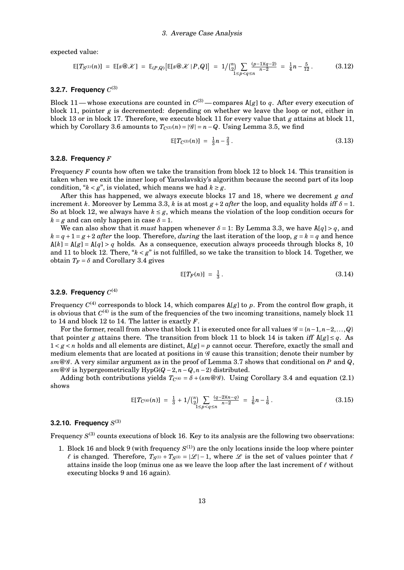#### <span id="page-12-0"></span>3. Average Case Analysis

expected value:

$$
\mathbb{E}[T_{S^{(1)}}(n)] = \mathbb{E}[s \mathcal{Q} \mathcal{K}] = \mathbb{E}_{(P,Q)}[\mathbb{E}[s \mathcal{Q} \mathcal{K} | P, Q]] = 1 / \binom{n}{2} \sum_{1 \le p < q \le n} \frac{(p-1)(q-2)}{n-2} = \frac{1}{4}n - \frac{5}{12} \,. \tag{3.12}
$$

### **3.2.7. Frequency** *C* (3)

Block [11](#page-8-8)—whose executions are counted in  $C^{(3)}$ —compares A[*g*] to *q*. After every execution of block [11,](#page-8-8) pointer *g* is decremented: depending on whether we leave the loop or not, either in block [13](#page-8-14) or in block [17.](#page-8-9) Therefore, we execute block [11](#page-8-8) for every value that *g* attains at block [11,](#page-8-8) which by Corollary [3.6](#page-11-0) amounts to  $T_{\mathcal{C}^{(3)}}(n) = |\mathcal{G}| = n - Q$ . Using Lemma [3.5,](#page-10-0) we find

$$
\mathbb{E}[T_{C^{(3)}}(n)] = \frac{1}{3}n - \frac{2}{3}.
$$
\n(3.13)

#### **3.2.8. Frequency** *F*

Frequency *F* counts how often we take the transition from block [12](#page-8-10) to block [14.](#page-8-11) This transition is taken when we exit the inner loop of Yaroslavskiy's algorithm because the second part of its loop condition, " $k < g$ ", is violated, which means we had  $k \geq g$ .

After this has happened, we always execute blocks [17](#page-8-9) and [18,](#page-8-4) where we decrement *g and* increment *k*. Moreover by Lemma [3.3,](#page-9-1) *k* is at most  $g + 2$  *after* the loop, and equality holds iff  $\delta = 1$ . So at block [12,](#page-8-10) we always have  $k \leq g$ , which means the violation of the loop condition occurs for  $k = g$  and can only happen in case  $\delta = 1$ .

We can also show that it *must* happen whenever  $\delta = 1$ : By Lemma [3.3,](#page-9-1) we have A[*q*] > *q*, and  $k = q + 1 = g + 2$  *after* the loop. Therefore, *during* the last iteration of the loop,  $g = k = q$  and hence  $A[k] = A[g] = A[q] > q$  holds. As a consequence, execution always proceeds through blocks [8,](#page-8-3) [10](#page-8-7) and [11](#page-8-8) to block [12.](#page-8-10) There, " $k < g$ " is not fulfilled, so we take the transition to block [14.](#page-8-11) Together, we obtain  $T_F = \delta$  and Corollary [3.4](#page-9-2) gives

$$
\mathbb{E}[T_F(n)] = \frac{1}{3} \,. \tag{3.14}
$$

### **3.2.9. Frequency** *C* (4)

Frequency  $C^{(4)}$  corresponds to block [14,](#page-8-11) which compares A[*g*] to *p*. From the control flow graph, it is obvious that  $C^{(4)}$  is the sum of the frequencies of the two incoming transitions, namely block  $11$ to [14](#page-8-11) and block [12](#page-8-10) to [14.](#page-8-11) The latter is exactly *F*.

For the former, recall from above that block [11](#page-8-8) is executed once for all values  $\mathcal{G} = \{n-1, n-2, ..., Q\}$ that pointer *g* attains there. The transition from block [11](#page-8-8) to block [14](#page-8-11) is taken iff  $A[g] \leq q$ . As  $1 < g < n$  holds and all elements are distinct,  $A[g] = p$  cannot occur. Therefore, exactly the small and medium elements that are located at positions in  $\mathscr G$  cause this transition; denote their number by *sm@*G. A very similar argument as in the proof of Lemma [3.7](#page-11-1) shows that conditional on *P* and *Q*,  $sm@G$  is hypergeometrically HypG( $Q-2, n-Q, n-2$ ) distributed.

Adding both contributions yields  $T_{C^{(4)}} = \delta + (sm@9)$ . Using Corollary [3.4](#page-9-2) and equation [\(2.1\)](#page-5-2) shows

$$
\mathbb{E}[T_{C^{(4)}}(n)] = \frac{1}{3} + 1 / {n \choose 2} \sum_{1 \le p < q \le n} \frac{(q-2)(n-q)}{n-2} = \frac{1}{6}n - \frac{1}{6} \,. \tag{3.15}
$$

### **3.2.10. Frequency** *S* (3)

Frequency *S* (3) counts executions of block [16.](#page-8-15) Key to its analysis are the following two observations:

1. Block [16](#page-8-15) and block [9](#page-8-13) (with frequency  $S^{(1)}$ ) are the only locations inside the loop where pointer *ℓ* is changed. Therefore,  $T_{S^{(1)}} + T_{S^{(3)}} = |\mathcal{L}| - 1$ , where  $\mathcal{L}$  is the set of values pointer that  $\ell$ attains inside the loop (minus one as we leave the loop after the last increment of  $\ell$  without executing blocks [9](#page-8-13) and [16](#page-8-15) again).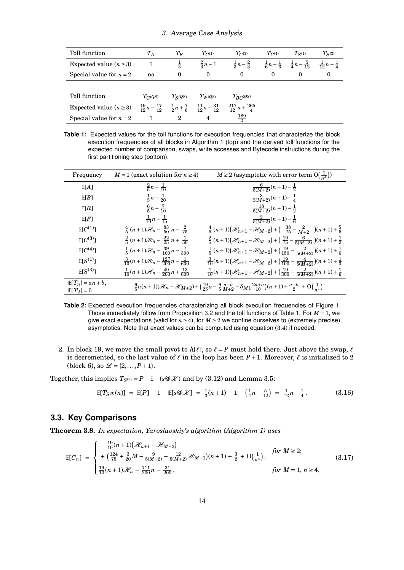| Toll function               | $T_A$                            | $T_F\,$                      | $T_{C^{(1)}}$                    | $T_{C^{(3)}}$                   | $T_{C^{(4)}}$ | $T_{S^{(1)}}$                                          | $T_{S^{(3)}}$                 |
|-----------------------------|----------------------------------|------------------------------|----------------------------------|---------------------------------|---------------|--------------------------------------------------------|-------------------------------|
| Expected value $(n \geq 3)$ |                                  | $\frac{1}{3}$                | $rac{2}{3}n-1$                   | $\frac{1}{3}n - \frac{2}{3}$    |               | $\frac{1}{6}n-\frac{1}{6}$ $\frac{1}{4}n-\frac{5}{12}$ | $\frac{1}{12}n - \frac{1}{4}$ |
| Special value for $n = 2$   | no                               | $\theta$                     | $\mathbf{0}$                     | $\Omega$                        | $\theta$      | $\theta$                                               | $\bf{0}$                      |
|                             |                                  |                              |                                  |                                 |               |                                                        |                               |
| Toll function               | $T_{\Gamma}(QS)$                 | $T_{\mathcal{S}}(QS)$        | $T_{W^{(QS)}}$                   | $T_{BC}$ (QS)                   |               |                                                        |                               |
| Expected value $(n \geq 3)$ | $\frac{19}{12}n - \frac{17}{12}$ | $\frac{1}{2}n + \frac{7}{6}$ | $\frac{11}{12}n + \frac{31}{12}$ | $rac{217}{12}n + \frac{265}{4}$ |               |                                                        |                               |
| Special value for $n = 2$   |                                  | $\mathbf 2$                  | 4                                | $\frac{189}{2}$                 |               |                                                        |                               |

<span id="page-13-0"></span>**Table 1:** Expected values for the toll functions for execution frequencies that characterize the block execution frequencies of all blocks in Algorithm [1](#page-3-0) (top) and the derived toll functions for the expected number of comparison, swaps, write accesses and Bytecode instructions during the first partitioning step (bottom).

| Frequency                                            | $M = 1$ (exact solution for $n \ge 4$ )                              | $M \ge 2$ (asymptotic with error term $O(\frac{1}{n^4})$ )                                                                                                                                        |
|------------------------------------------------------|----------------------------------------------------------------------|---------------------------------------------------------------------------------------------------------------------------------------------------------------------------------------------------|
| E[A]                                                 | $rac{2}{5}n-\frac{1}{10}$                                            | $\frac{6}{5(M+2)}(n+1)-\frac{1}{2}$                                                                                                                                                               |
| E[B]                                                 | $rac{1}{5}n-\frac{1}{20}$                                            | $\frac{3}{5(M+2)}(n+1)-\frac{1}{4}$                                                                                                                                                               |
| E[R]                                                 | $\frac{6}{5}n + \frac{7}{10}$                                        | $\frac{18}{5(M+2)}(n+1)-\frac{1}{2}$                                                                                                                                                              |
| E[F]                                                 | $\frac{1}{10}n-\frac{1}{15}$                                         | $\frac{2}{5(M+2)}(n+1)-\frac{1}{6}$                                                                                                                                                               |
| $E[C^{(1)}]$                                         | $rac{4}{5}(n+1) \mathcal{H}_n - \frac{83}{50} n - \frac{2}{75}$      | $\frac{4}{5}(n+1)(\mathcal{H}_{n+1}-\mathcal{H}_{M+2})+ \left(\frac{38}{75}-\frac{2}{M+2}\right)(n+1)+\frac{5}{6}$                                                                                |
| $E[C^{(3)}]$                                         | $\frac{2}{5}(n+1) \mathcal{H}_n - \frac{22}{25} n + \frac{1}{50}$    | $\frac{2}{5}(n+1)\left(\mathcal{H}_{n+1}-\mathcal{H}_{M+2}\right)+\left(\frac{19}{75}-\frac{6}{5(M+2)}\right)(n+1)+\frac{1}{2}$                                                                   |
| $E[C^{(4)}]$                                         | $\frac{1}{5}(n+1) \mathcal{H}_n - \frac{39}{100}n - \frac{7}{300}$   | $\frac{1}{5}(n+1)(\mathcal{H}_{n+1}-\mathcal{H}_{M+2}) + \left(\frac{19}{150} - \frac{2}{5(M+2)}\right)(n+1) + \frac{1}{6}$                                                                       |
| $E[S^{(1)}]$                                         | $\frac{3}{10}(n+1) \mathcal{H}_n - \frac{127}{200}n - \frac{1}{600}$ | $\frac{3}{10}(n+1)(\mathcal{H}_{n+1}-\mathcal{H}_{M+2})+\left(\frac{19}{100}-\frac{4}{5(M+2)}\right)(n+1)+\frac{1}{3}$                                                                            |
| $E[S^{(3)}]$                                         | $\frac{1}{10}(n+1) \mathcal{H}_n - \frac{49}{200}n + \frac{13}{600}$ | $\frac{1}{10}(n+1)(\mathcal{H}_{n+1}-\mathcal{H}_{M+2})+\left(\frac{19}{300}-\frac{2}{5(M+2)}\right)(n+1)+\frac{1}{6}$                                                                            |
| $\mathbb{E}[T_n] = a n + b$ ,<br>$\mathbb{E}[T_2]=0$ |                                                                      | $\frac{6}{5}a(n+1)(\mathcal{H}_n - \mathcal{H}_{M+2}) + \left(\frac{19}{25}a - \frac{6}{5}\frac{a-b}{M+2} - \delta_{M1}\frac{2a+b}{10}\right)(n+1) + \frac{a-b}{2} + O\left(\frac{1}{n^4}\right)$ |

- <span id="page-13-1"></span>**Table 2:** Expected execution frequencies characterizing all block execution frequencies of Figure [1.](#page-8-0) Those immediately follow from Proposition [3.2](#page-6-6) and the toll functions of Table [1.](#page-13-0) For  $M = 1$ , we give exact expectations (valid for  $n \ge 4$ ), for  $M \ge 2$  we confine ourselves to (extremely precise) asymptotics. Note that exact values can be computed using equation [\(3.4\)](#page-6-5) if needed.
- 2. In block [19,](#page-8-1) we move the small pivot to A[ $\ell$ ], so  $\ell = P$  must hold there. Just above the swap,  $\ell$ is decremented, so the last value of  $\ell$  in the loop has been  $P + 1$ . Moreover,  $\ell$  is initialized to 2 (block [6\)](#page-8-5), so  $\mathcal{L} = \{2, ..., P + 1\}.$

Together, this implies  $T_S^{(3)} = P - 1 - (s \mathcal{QK})$  and by [\(3.12\)](#page-12-0) and Lemma [3.5:](#page-10-0)

<span id="page-13-2"></span>
$$
\mathbb{E}[T_{\mathcal{S}^{(3)}}(n)] = \mathbb{E}[P] - 1 - \mathbb{E}[s \mathcal{Q} \mathcal{K}] = \frac{1}{3}(n+1) - 1 - \left(\frac{1}{4}n - \frac{5}{12}\right) = \frac{1}{12}n - \frac{1}{4}.
$$
 (3.16)

# **3.3. Key Comparisons**

<span id="page-13-3"></span>**Theorem 3.8.** *In expectation, Yaroslavskiy's algorithm (Algorithm [1\)](#page-3-0) uses*

$$
\mathbb{E}[C_n] = \begin{cases}\n\frac{19}{10}(n+1)(\mathcal{H}_{n+1} - \mathcal{H}_{M+2}) \\
+(\frac{124}{75} + \frac{3}{20}M - \frac{9}{5(M+2)} - \frac{12}{5(M+2)}\mathcal{H}_{M+1})(n+1) + \frac{3}{2} + O(\frac{1}{n^4}), & \text{for } M \ge 2; \\
\frac{19}{10}(n+1)\mathcal{H}_n - \frac{711}{200}n - \frac{31}{200}, & \text{for } M = 1, n \ge 4,\n\end{cases}
$$
\n(3.17)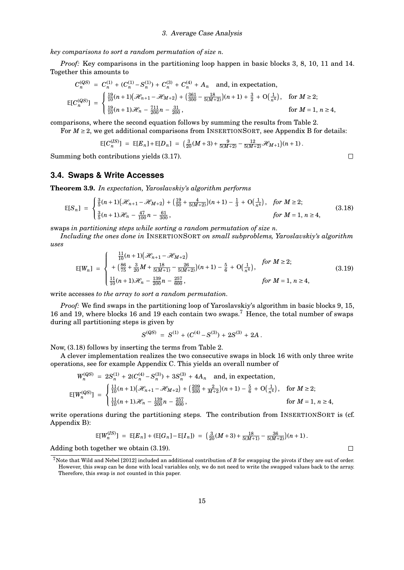#### *key comparisons to sort a random permutation of size n.*

*Proof:* Key comparisons in the partitioning loop happen in basic blocks [3,](#page-8-16) [8,](#page-8-3) [10,](#page-8-7) [11](#page-8-8) and [14.](#page-8-11) Together this amounts to

$$
C_n^{(QS)} = C_n^{(1)} + (C_n^{(1)} - S_n^{(1)}) + C_n^{(3)} + C_n^{(4)} + A_n
$$
 and, in expectation,  
\n
$$
\mathbb{E}[C_n^{(QS)}] = \begin{cases} \frac{19}{10}(n+1)(\mathcal{H}_{n+1} - \mathcal{H}_{M+2}) + (\frac{361}{300} - \frac{18}{5(M+2)})(n+1) + \frac{3}{2} + O(\frac{1}{n^4}), & \text{for } M \ge 2; \\ \frac{19}{10}(n+1)\mathcal{H}_n - \frac{711}{200}n - \frac{31}{200}, & \text{for } M = 1, n \ge 4, \end{cases}
$$

comparisons, where the second equation follows by summing the results from Table [2.](#page-13-1)

For  $M \geq 2$ , we get additional comparisons from INSERTIONSORT, see Appendix [B](#page-29-0) for details:

$$
\mathbb{E}[C_n^{(IS)}] = \mathbb{E}[E_n] + \mathbb{E}[D_n] = \left(\frac{3}{20}(M+3) + \frac{9}{5(M+2)} - \frac{12}{5(M+2)}\mathcal{H}_{M+1}\right)(n+1).
$$

Summing both contributions yields [\(3.17\)](#page-13-2).

### **3.4. Swaps & Write Accesses**

<span id="page-14-3"></span>**Theorem 3.9.** *In expectation, Yaroslavskiy's algorithm performs*

$$
\mathbb{E}[S_n] = \begin{cases} \frac{3}{5}(n+1)(\mathcal{H}_{n+1} - \mathcal{H}_{M+2}) + (\frac{19}{50} + \frac{4}{5(M+2)})(n+1) - \frac{1}{3} + O(\frac{1}{n^4}), & \text{for } M \ge 2; \\ \frac{3}{5}(n+1)\mathcal{H}_n - \frac{47}{100}n - \frac{61}{300}, & \text{for } M = 1, n \ge 4, \end{cases}
$$
(3.18)

swaps *in partitioning steps while sorting a random permutation of size n.*

*Including the ones done in* INSERTIONSORT *on small subproblems, Yaroslavskiy's algorithm uses*

$$
\mathbb{E}[W_n] = \begin{cases}\n\frac{11}{10}(n+1)(\mathcal{H}_{n+1} - \mathcal{H}_{M+2}) \\
+ \left(\frac{86}{75} + \frac{3}{20}M + \frac{18}{5(M+1)} - \frac{26}{5(M+2)}\right)(n+1) - \frac{5}{6} + O\left(\frac{1}{n^4}\right), & \text{for } M \ge 2; \\
\frac{11}{10}(n+1)\mathcal{H}_n - \frac{139}{200}n - \frac{257}{600}, & \text{for } M = 1, n \ge 4,\n\end{cases}
$$
\n(3.19)

write accesses *to the array to sort a random permutation.*

*Proof:* We find swaps in the partitioning loop of Yaroslavskiy's algorithm in basic blocks [9,](#page-8-13) [15,](#page-8-17) [16](#page-8-15) and [19,](#page-8-1) where blocks [16](#page-8-15) and [19](#page-8-1) each contain two swaps.[7](#page-14-0) Hence, the total number of swaps during all partitioning steps is given by

$$
S^{(QS)} = S^{(1)} + (C^{(4)} - S^{(3)}) + 2S^{(3)} + 2A.
$$

Now, [\(3.18\)](#page-14-1) follows by inserting the terms from Table [2.](#page-13-1)

A clever implementation realizes the two consecutive swaps in block [16](#page-8-15) with only three write operations, see for example Appendix [C.](#page-30-0) This yields an overall number of

$$
W_n^{(QS)} = 2S_n^{(1)} + 2(C_n^{(4)} - S_n^{(3)}) + 3S_n^{(3)} + 4A_n
$$
 and, in expectation,  
\n
$$
\mathbb{E}[W_n^{(QS)}] = \begin{cases} \frac{11}{10}(n+1)(\mathcal{H}_{n+1} - \mathcal{H}_{M+2}) + (\frac{209}{300} + \frac{2}{M+2})(n+1) - \frac{5}{6} + O(\frac{1}{n^4}), & \text{for } M \ge 2; \\ \frac{11}{10}(n+1)\mathcal{H}_n - \frac{139}{200}n - \frac{257}{600}, & \text{for } M = 1, n \ge 4, \end{cases}
$$

write operations during the partitioning steps. The contribution from INSERTIONSORT is (cf. Appendix [B\)](#page-29-0):

$$
\mathbb{E}[W_n^{(IS)}] = \mathbb{E}[E_n] + (\mathbb{E}[G_n] - \mathbb{E}[I_n]) = \left(\frac{3}{20}(M+3) + \frac{18}{5(M+1)} - \frac{36}{5(M+2)}\right)(n+1).
$$

Adding both together we obtain [\(3.19\)](#page-14-2).

 $\Box$ 

<span id="page-14-2"></span><span id="page-14-1"></span> $\Box$ 

<span id="page-14-0"></span><sup>7</sup>Note that [Wild and Nebel](#page-40-9) [\[2012\]](#page-40-9) included an additional contribution of *B* for swapping the pivots if they are out of order. However, this swap can be done with local variables only, we do not need to write the swapped values back to the array. Therefore, this swap is not counted in this paper.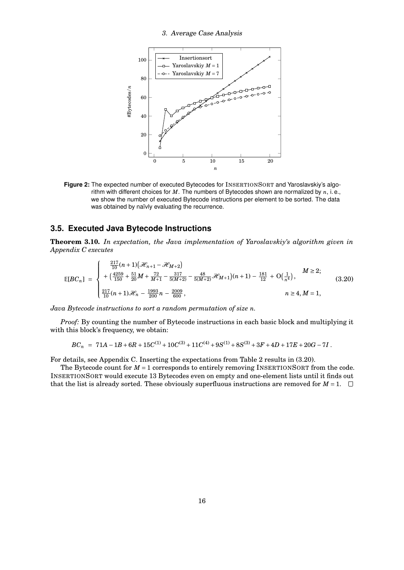#### 3. Average Case Analysis



<span id="page-15-1"></span>**Figure 2:** The expected number of executed Bytecodes for INSERTIONSORT and Yaroslavskiy's algorithm with different choices for *M*. The numbers of Bytecodes shown are normalized by *n*, i. e., we show the number of executed Bytecode instructions per element to be sorted. The data was obtained by naïvly evaluating the recurrence.

# **3.5. Executed Java Bytecode Instructions**

<span id="page-15-2"></span>**Theorem 3.10.** *In expectation, the Java implementation of Yaroslavskiy's algorithm given in Appendix [C](#page-30-0) executes*

<span id="page-15-0"></span>
$$
\mathbb{E}[BC_n] = \begin{cases} \frac{217}{10}(n+1)(\mathcal{H}_{n+1} - \mathcal{H}_{M+2}) \\ + \left(\frac{4259}{150} + \frac{51}{20}M + \frac{72}{M+1} - \frac{317}{5(M+2)} - \frac{48}{5(M+2)}\mathcal{H}_{M+1}\right)(n+1) - \frac{181}{12} + O\left(\frac{1}{n^4}\right), & M \ge 2; \\ \frac{217}{10}(n+1)\mathcal{H}_n - \frac{1993}{200}n - \frac{2009}{600}, & n \ge 4, M = 1, \end{cases}
$$
(3.20)

*Java Bytecode instructions to sort a random permutation of size n.*

*Proof:* By counting the number of Bytecode instructions in each basic block and multiplying it with this block's frequency, we obtain:

$$
BC_n = 71A - 1B + 6R + 15C^{(1)} + 10C^{(3)} + 11C^{(4)} + 9S^{(1)} + 8S^{(3)} + 3F + 4D + 17E + 20G - 7I.
$$

For details, see Appendix [C.](#page-30-0) Inserting the expectations from Table [2](#page-13-1) results in [\(3.20\)](#page-15-0).

The Bytecode count for  $M = 1$  corresponds to entirely removing INSERTIONSORT from the code. INSERTIONSORT would execute 13 Bytecodes even on empty and one-element lists until it finds out that the list is already sorted. These obviously superfluous instructions are removed for  $M = 1$ .  $\Box$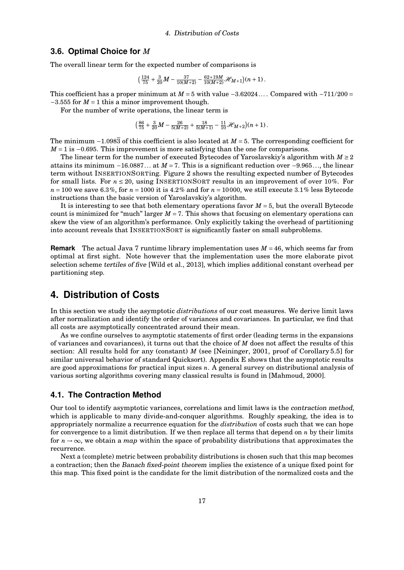#### 4. Distribution of Costs

### **3.6. Optimal Choice for** *M*

The overall linear term for the expected number of comparisons is

$$
\big(\tfrac{124}{75}+\tfrac{3}{20}M-\tfrac{37}{10(M+2)}-\tfrac{62+19M}{10(M+2)}\mathcal{H}_{M+1}\big)(n+1)\,.
$$

This coefficient has a proper minimum at *M* = 5 with value −3.62024... . Compared with −711/200 =  $-3.555$  for  $M = 1$  this a minor improvement though.

For the number of write operations, the linear term is

$$
\left(\frac{86}{75}+\frac{3}{20}M-\frac{26}{5(M+2)}+\frac{18}{5(M+1)}-\frac{11}{10}M_{M+2}\right)(n+1).
$$

The minimum −1.0983 of this coefficient is also located at *M* = 5. The corresponding coefficient for *M* = 1 is −0.695. This improvement is more satisfying than the one for comparisons.

The linear term for the number of executed Bytecodes of Yaroslavskiy's algorithm with  $M \geq 2$ attains its minimum −16.0887... at *M* = 7. This is a significant reduction over −9.965..., the linear term without INSERTIONSORTing. Figure [2](#page-15-1) shows the resulting expected number of Bytecodes for small lists. For  $n \le 20$ , using INSERTIONSORT results in an improvement of over 10%. For *n* = 100 we save 6.3%, for *n* = 1000 it is 4.2% and for *n* = 10000, we still execute 3.1% less Bytecode instructions than the basic version of Yaroslavskiy's algorithm.

It is interesting to see that both elementary operations favor *M* = 5, but the overall Bytecode count is minimized for "much" larger *M* = 7. This shows that focusing on elementary operations can skew the view of an algorithm's performance. Only explicitly taking the overhead of partitioning into account reveals that INSERTIONSORT is significantly faster on small subproblems.

**Remark** The actual Java 7 runtime library implementation uses  $M = 46$ , which seems far from optimal at first sight. Note however that the implementation uses the more elaborate pivot selection scheme tertiles of five [\[Wild et al., 2013\]](#page-41-0), which implies additional constant overhead per partitioning step.

# <span id="page-16-0"></span>**4. Distribution of Costs**

In this section we study the asymptotic *distributions* of our cost measures. We derive limit laws after normalization and identify the order of variances and covariances. In particular, we find that all costs are asymptotically concentrated around their mean.

As we confine ourselves to asymptotic statements of first order (leading terms in the expansions of variances and covariances), it turns out that the choice of *M* does not affect the results of this section: All results hold for any (constant) *M* (see [\[Neininger, 2001,](#page-40-15) proof of Corollary 5.5] for similar universal behavior of standard Quicksort). Appendix [E](#page-38-0) shows that the asymptotic results are good approximations for practical input sizes *n*. A general survey on distributional analysis of various sorting algorithms covering many classical results is found in [\[Mahmoud, 2000\]](#page-40-14).

### <span id="page-16-1"></span>**4.1. The Contraction Method**

Our tool to identify asymptotic variances, correlations and limit laws is the contraction method, which is applicable to many divide-and-conquer algorithms. Roughly speaking, the idea is to appropriately normalize a recurrence equation for the *distribution* of costs such that we can hope for convergence to a limit distribution. If we then replace all terms that depend on *n* by their limits for  $n \to \infty$ , we obtain a *map* within the space of probability distributions that approximates the recurrence.

Next a (complete) metric between probability distributions is chosen such that this map becomes a contraction; then the Banach fixed-point theorem implies the existence of a unique fixed point for this map. This fixed point is the candidate for the limit distribution of the normalized costs and the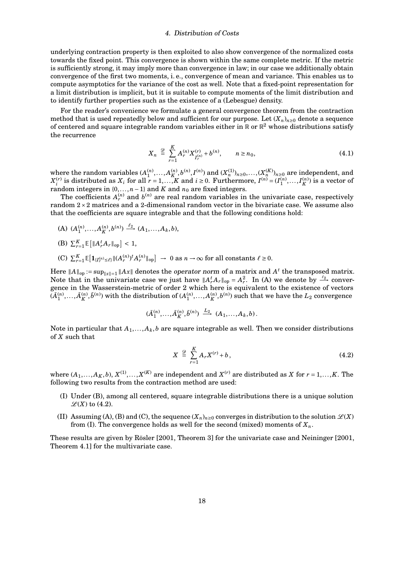#### 4. Distribution of Costs

underlying contraction property is then exploited to also show convergence of the normalized costs towards the fixed point. This convergence is shown within the same complete metric. If the metric is sufficiently strong, it may imply more than convergence in law; in our case we additionally obtain convergence of the first two moments, i. e., convergence of mean and variance. This enables us to compute asymptotics for the variance of the cost as well. Note that a fixed-point representation for a limit distribution is implicit, but it is suitable to compute moments of the limit distribution and to identify further properties such as the existence of a (Lebesgue) density.

For the reader's convenience we formulate a general convergence theorem from the contraction method that is used repeatedly below and sufficient for our purpose. Let  $(X_n)_{n\geq 0}$  denote a sequence of centered and square integrable random variables either in R or  $\mathbb{R}^2$  whose distributions satisfy the recurrence

<span id="page-17-5"></span>
$$
X_n \stackrel{\mathscr{D}}{=} \sum_{r=1}^K A_r^{(n)} X_{I_r^{(n)}}^{(r)} + b^{(n)}, \qquad n \ge n_0,
$$
\n(4.1)

where the random variables  $(A_1^{(n)},...,A_K^{(n)},b^{(n)},I^{(n)})$  and  $(X_2^{(1)})_{n\geq0},..., (X_n^{(K)})_{n\geq0}$  are independent, and  $X_i^{(r)}$  is distributed as  $X_i$  for all  $r = 1,...,K$  and  $i \ge 0$ . Furthermore,  $I^{(n)} = (I_1^{(n)},...,I_K^{(n)})$  is a vector of random integers in  $\{0, \ldots, n-1\}$  and *K* and  $n_0$  are fixed integers.

The coefficients  $A_r^{(n)}$  and  $b^{(n)}$  are real random variables in the univariate case, respectively random  $2 \times 2$  matrices and a 2-dimensional random vector in the bivariate case. We assume also that the coefficients are square integrable and that the following conditions hold:

- <span id="page-17-0"></span> $(A)$   $(A_1^{(n)},...,A_K^{(n)},b^{(n)}) \xrightarrow{\ell_2} (A_1,...,A_k,b),$
- <span id="page-17-1"></span>(B)  $\sum_{r=1}^{K} \mathbb{E} \left[ \| A_r^t A_r \|_{op} \right] < 1,$
- <span id="page-17-3"></span> $(C) \sum_{r=1}^{K} \mathbb{E}[\mathbf{1}_{\{I_r^{(n)} \leq \ell\}} \| (A_r^{(n)})^t A_r^{(n)} \|_{\text{op}}] \rightarrow 0$  as  $n \rightarrow \infty$  for all constants  $\ell \geq 0$ .

Here  $||A||_{op} := \sup_{||x||=1} ||Ax||$  denotes the *operator norm* of a matrix and  $A<sup>t</sup>$  the transposed matrix. Note that in the univariate case we just have  $||A_r^t A_r||_{op} = A_r^2$ . In [\(A\)](#page-17-0) we denote by  $\frac{\ell_2}{r}$  convergence in the Wasserstein-metric of order 2 which here is equivalent to the existence of vectors  $(\tilde{A}_1^{(n)},\ldots,\tilde{A}_K^{(n)},\tilde{b}^{(n)})$  with the distribution of  $(A_1^{(n)},\ldots,A_K^{(n)},b^{(n)})$  such that we have the  $L_2$  convergence

$$
(\tilde{A}_1^{(n)},\ldots,\tilde{A}_K^{(n)},\tilde{b}^{(n)})\ \stackrel{L_2}{\longrightarrow}\ (A_1,\ldots,A_k,b)\,.
$$

Note in particular that  $A_1$ ,...,  $A_k$ ,  $b$  are square integrable as well. Then we consider distributions of *X* such that

<span id="page-17-2"></span>
$$
X \stackrel{\mathcal{D}}{=} \sum_{r=1}^{K} A_r X^{(r)} + b \,, \tag{4.2}
$$

where  $(A_1, \ldots, A_K, b)$ ,  $X^{(1)}, \ldots, X^{(K)}$  are independent and  $X^{(r)}$  are distributed as *X* for  $r = 1, \ldots, K$ . The following two results from the contraction method are used:

- <span id="page-17-4"></span>(I) Under [\(B\),](#page-17-1) among all centered, square integrable distributions there is a unique solution  $\mathscr{L}(X)$  to [\(4.2\)](#page-17-2).
- <span id="page-17-6"></span>(II) Assuming [\(A\),](#page-17-0) [\(B\)](#page-17-1) and [\(C\),](#page-17-3) the sequence  $(X_n)_{n\geq 0}$  converges in distribution to the solution  $\mathcal{L}(X)$ from [\(I\).](#page-17-4) The convergence holds as well for the second (mixed) moments of *Xn*.

These results are given by [Rösler](#page-40-16) [\[2001,](#page-40-16) Theorem 3] for the univariate case and [Neininger](#page-40-15) [\[2001,](#page-40-15) Theorem 4.1] for the multivariate case.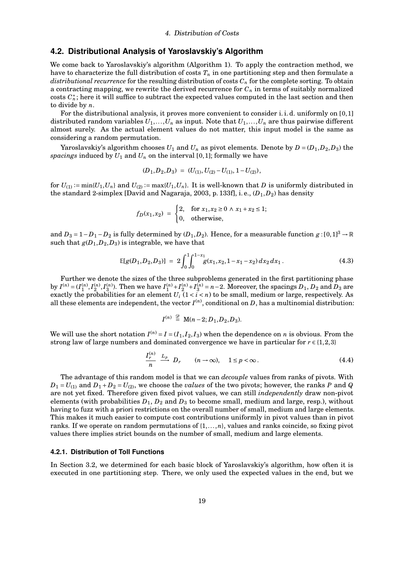# **4.2. Distributional Analysis of Yaroslavskiy's Algorithm**

We come back to Yaroslavskiy's algorithm (Algorithm [1\)](#page-3-0). To apply the contraction method, we have to characterize the full distribution of costs  $T<sub>n</sub>$  in one partitioning step and then formulate a *distributional recurrence* for the resulting distribution of costs *C<sup>n</sup>* for the complete sorting. To obtain a contracting mapping, we rewrite the derived recurrence for  $C<sub>n</sub>$  in terms of suitably normalized  $\cos$ ts  $C_n^*$ ; here it will suffice to subtract the expected values computed in the last section and then to divide by *n*.

For the distributional analysis, it proves more convenient to consider i. i. d. uniformly on [0,1] distributed random variables  $U_1, \ldots, U_n$  as input. Note that  $U_1, \ldots, U_n$  are thus pairwise different almost surely. As the actual element values do not matter, this input model is the same as considering a random permutation.

Yaroslavskiy's algorithm chooses  $U_1$  and  $U_n$  as pivot elements. Denote by  $D = (D_1, D_2, D_3)$  the *spacings* induced by  $U_1$  and  $U_n$  on the interval [0,1]; formally we have

$$
(D_1,D_2,D_3)\;=\;(U_{(1)},U_{(2)}-U_{(1)},1-U_{(2)}),
$$

for  $U_{(1)} := \min\{U_1, U_n\}$  and  $U_{(2)} := \max\{U_1, U_n\}$ . It is well-known that *D* is uniformly distributed in the standard 2-simplex [\[David and Nagaraja, 2003,](#page-39-17) p. 133f], i. e., (*D*1,*D*2) has density

$$
f_D(x_1, x_2) = \begin{cases} 2, & \text{for } x_1, x_2 \ge 0 \land x_1 + x_2 \le 1; \\ 0, & \text{otherwise,} \end{cases}
$$

and  $D_3 = 1 - D_1 - D_2$  is fully determined by  $(D_1, D_2)$ . Hence, for a measurable function  $g:[0,1]^3 \to \mathbb{R}$ such that  $g(D_1, D_2, D_3)$  is integrable, we have that

$$
\mathbb{E}[g(D_1, D_2, D_3)] = 2 \int_0^1 \int_0^{1-x_1} g(x_1, x_2, 1 - x_1 - x_2) \, dx_2 \, dx_1 \,. \tag{4.3}
$$

Further we denote the sizes of the three subproblems generated in the first partitioning phase by  $I^{(n)} = (I_1^{(n)}, I_2^{(n)}, I_3^{(n)})$ . Then we have  $I_1^{(n)} + I_2^{(n)} + I_3^{(n)} = n-2$ . Moreover, the spacings  $D_1, D_2$  and  $D_3$  are exactly the probabilities for an element  $U_i$  ( $1 < i < n$ ) to be small, medium or large, respectively. As all these elements are independent, the vector  $I^{(n)}$ , conditional on  $D$ , has a multinomial distribution:

<span id="page-18-1"></span><span id="page-18-0"></span>
$$
I^{(n)} \stackrel{\mathscr{D}}{=} \mathbf{M}(n-2;D_1,D_2,D_3).
$$

We will use the short notation  $I^{(n)} = I = (I_1, I_2, I_3)$  when the dependence on *n* is obvious. From the strong law of large numbers and dominated convergence we have in particular for  $r \in \{1,2,3\}$ 

$$
\frac{I_r^{(n)}}{n} \xrightarrow{L_p} D_r \qquad (n \to \infty), \quad 1 \le p < \infty. \tag{4.4}
$$

The advantage of this random model is that we can *decouple* values from ranks of pivots. With  $D_1 = U_{(1)}$  and  $D_1 + D_2 = U_{(2)}$ , we choose the *values* of the two pivots; however, the ranks *P* and *Q* are not yet fixed. Therefore given fixed pivot values, we can still *independently* draw non-pivot elements (with probabilities  $D_1$ ,  $D_2$  and  $D_3$  to become small, medium and large, resp.), without having to fuzz with a priori restrictions on the overall number of small, medium and large elements. This makes it much easier to compute cost contributions uniformly in pivot values than in pivot ranks. If we operate on random permutations of {1,...,*n*}, values and ranks coincide, so fixing pivot values there implies strict bounds on the number of small, medium and large elements.

#### **4.2.1. Distribution of Toll Functions**

In Section [3.2,](#page-7-2) we determined for each basic block of Yaroslavskiy's algorithm, how often it is executed in one partitioning step. There, we only used the expected values in the end, but we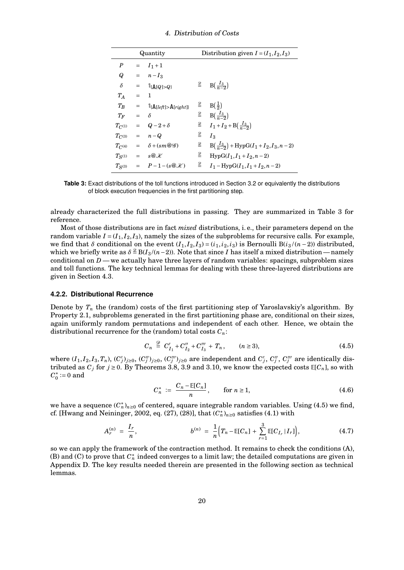#### 4. Distribution of Costs

| Quantity      |              |                                                            | Distribution given $I = (I_1, I_2, I_3)$ |                                                   |  |  |  |  |
|---------------|--------------|------------------------------------------------------------|------------------------------------------|---------------------------------------------------|--|--|--|--|
| P             |              | $= I_1 + 1$                                                |                                          |                                                   |  |  |  |  |
| Q             |              | $=$ $n-I_3$                                                |                                          |                                                   |  |  |  |  |
| $\delta$      |              | $= \mathbb{1}_{\{A[Q]>Q\}}$                                |                                          | $\stackrel{2}{=}$ B( $\frac{I_3}{n-2}$ )          |  |  |  |  |
| $T_A$         | $=$ 1        |                                                            |                                          |                                                   |  |  |  |  |
| $T_B$         |              | $= \mathbb{I}_{\{\mathbf{A}[left]\} > \mathbf{A}[right]\}$ | ≗                                        | $B(\frac{1}{2})$                                  |  |  |  |  |
| $T_F$         | $=$ $\delta$ |                                                            |                                          | $\stackrel{2}{=}$ B( $\frac{I_3}{n-2}$ )          |  |  |  |  |
|               |              | $T_{C^{(1)}} = Q - 2 + \delta$                             |                                          | $\frac{2}{2}$ $I_1 + I_2 + B(\frac{I_3}{n-2})$    |  |  |  |  |
|               |              | $T_{C^{(3)}} = n - Q$                                      | ≝                                        | $I_3$                                             |  |  |  |  |
| $T_{C^{(4)}}$ |              | $= \delta + (sm@ \mathcal{G})$                             | $\overline{\underline{\mathscr{D}}}$     | $B(\frac{I_3}{n-2}) + HypG(I_1 + I_2, I_3, n-2)$  |  |  |  |  |
|               |              | $T_{S^{(1)}} = s \mathcal{QK}$                             | $\stackrel{\mathscr{D}}{=}$              | $HypG(I_1, I_1+I_2, n-2)$                         |  |  |  |  |
|               |              | $T_{S^{(3)}} = P - 1 - (s \mathcal{QK})$                   |                                          | $\stackrel{?}{=} I_1 - HypG(I_1, I_1 + I_2, n-2)$ |  |  |  |  |

<span id="page-19-0"></span>**Table 3:** Exact distributions of the toll functions introduced in Section [3.2](#page-7-2) or equivalently the distributions of block execution frequencies in the first partitioning step.

already characterized the full distributions in passing. They are summarized in Table [3](#page-19-0) for reference.

Most of those distributions are in fact *mixed* distributions, i. e., their parameters depend on the random variable  $I = (I_1, I_2, I_3)$ , namely the sizes of the subproblems for recursive calls. For example, we find that  $\delta$  conditional on the event  $(I_1, I_2, I_3) = (i_1, i_2, i_3)$  is Bernoulli B( $i_3/(n-2)$ ) distributed, which we briefly write as  $\delta \stackrel{\mathscr{D}}{=} \text{B}(I_3/(n-2))$ . Note that since *I* has itself a mixed distribution — namely conditional on  $D$ —we actually have three layers of random variables: spacings, subproblem sizes and toll functions. The key technical lemmas for dealing with these three-layered distributions are given in Section [4.3.](#page-20-0)

#### <span id="page-19-3"></span>**4.2.2. Distributional Recurrence**

Denote by  $T_n$  the (random) costs of the first partitioning step of Yaroslavskiy's algorithm. By Property [2.1,](#page-5-0) subproblems generated in the first partitioning phase are, conditional on their sizes, again uniformly random permutations and independent of each other. Hence, we obtain the distributional recurrence for the (random) total costs *Cn*:

$$
C_n \stackrel{\mathscr{D}}{=} C'_{I_1} + C''_{I_2} + C'''_{I_3} + T_n, \qquad (n \ge 3), \tag{4.5}
$$

where  $(I_1,I_2,I_3,T_n)$ ,  $(C'_j)_{j\geq 0}$ ,  $(C''_j)_{j\geq 0}$ ,  $(C'''_j)_{j\geq 0}$  are independent and  $C'_j$ ,  $C''_j$ ,  $C'''_j$  are identically distributed as  $C_j$  for  $j \ge 0$ . By Theorems [3.8,](#page-13-3) [3.9](#page-14-3) and [3.10,](#page-15-2) we know the expected costs  $\mathbb{E}[C_n]$ , so with  $C_0^*$  := 0 and

<span id="page-19-2"></span><span id="page-19-1"></span>
$$
C_n^* := \frac{C_n - \mathbb{E}[C_n]}{n}, \qquad \text{for } n \ge 1,
$$
 (4.6)

we have a sequence  $(C_n^*)_{n\geq 0}$  of centered, square integrable random variables. Using [\(4.5\)](#page-19-1) we find, cf. [\[Hwang and Neininger, 2002,](#page-39-18) eq. (27), (28)], that (*C* ∗ *<sup>n</sup>*)*n*≥<sup>0</sup> satisfies [\(4.1\)](#page-17-5) with

$$
A_r^{(n)} = \frac{I_r}{n}, \qquad b^{(n)} = \frac{1}{n} \Big( T_n - \mathbb{E}[C_n] + \sum_{r=1}^3 \mathbb{E}[C_{I_r} | I_r] \Big), \qquad (4.7)
$$

so we can apply the framework of the contraction method. It remains to check the conditions [\(A\),](#page-17-0) [\(B\)](#page-17-1) and [\(C\)](#page-17-3) to prove that  $C_n^*$  indeed converges to a limit law; the detailed computations are given in Appendix [D.](#page-32-0) The key results needed therein are presented in the following section as technical lemmas.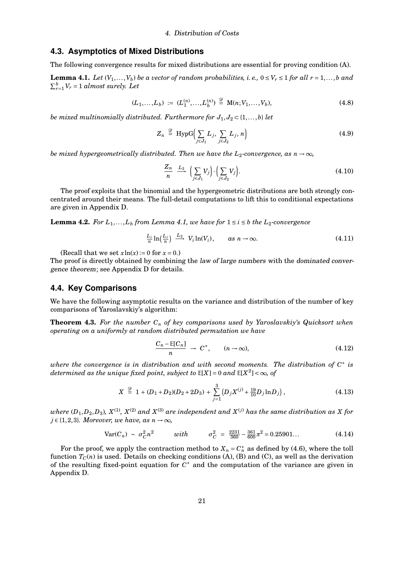### <span id="page-20-0"></span>**4.3. Asymptotics of Mixed Distributions**

The following convergence results for mixed distributions are essential for proving condition [\(A\).](#page-17-0)

<span id="page-20-1"></span>**Lemma 4.1.** Let  $(V_1, \ldots, V_b)$  be a vector of random probabilities, i.e.,  $0 \le V_r \le 1$  for all  $r = 1, \ldots, b$  and  $\sum_{r=1}^{b} V_r = 1$  *almost surely. Let* 

$$
(L_1, \ldots, L_b) := (L_1^{(n)}, \ldots, L_b^{(n)}) \stackrel{\mathscr{D}}{=} M(n; V_1, \ldots, V_b), \tag{4.8}
$$

*be mixed multinomially distributed. Furthermore for*  $J_1, J_2 \subset \{1, \ldots, b\}$  *let* 

$$
Z_n \stackrel{\mathscr{D}}{=} \text{HypG}\Big(\sum_{j\in J_1} L_j, \sum_{j\in J_2} L_j, n\Big) \tag{4.9}
$$

*be mixed hypergeometrically distributed. Then we have the*  $L_2$ *-convergence, as*  $n \to \infty$ *,* 

$$
\frac{Z_n}{n} \stackrel{L_2}{\longrightarrow} \Big(\sum_{j \in J_1} V_j\Big) \cdot \Big(\sum_{j \in J_2} V_j\Big). \tag{4.10}
$$

The proof exploits that the binomial and the hypergeometric distributions are both strongly concentrated around their means. The full-detail computations to lift this to conditional expectations are given in Appendix [D.](#page-32-0)

<span id="page-20-3"></span>**Lemma 4.2.** For  $L_1, \ldots, L_b$  from Lemma [4.1,](#page-20-1) we have for  $1 \le i \le b$  the  $L_2$ -convergence

$$
\frac{L_i}{n}\ln\left(\frac{L_i}{n}\right) \stackrel{L_2}{\longrightarrow} V_i\ln(V_i), \qquad \text{as } n \to \infty. \tag{4.11}
$$

(Recall that we set  $x \ln(x) := 0$  for  $x = 0$ .)

The proof is directly obtained by combining the law of large numbers with the dominated convergence theorem; see Appendix [D](#page-32-0) for details.

# **4.4. Key Comparisons**

We have the following asymptotic results on the variance and distribution of the number of key comparisons of Yaroslavskiy's algorithm:

<span id="page-20-2"></span>**Theorem 4.3.** *For the number C<sup>n</sup> of key comparisons used by Yaroslavskiy's Quicksort when operating on a uniformly at random distributed permutation we have*

<span id="page-20-4"></span>
$$
\frac{C_n - \mathbb{E}[C_n]}{n} \to C^*, \qquad (n \to \infty), \tag{4.12}
$$

*where the convergence is in distribution and with second moments. The distribution of C* ∗ *is*  $determined\ as\ the\ unique\ fixed\ point,\ subject\ to\  $\mathbb{E}[X] = 0\ and\ \mathbb{E}[X^2] < \infty,\ of$$ 

$$
X \stackrel{\mathscr{D}}{=} 1 + (D_1 + D_2)(D_2 + 2D_3) + \sum_{j=1}^{3} (D_j X^{(j)} + \frac{19}{10} D_j \ln D_j), \tag{4.13}
$$

 $w$ here (D $_1$ ,D $_2$ ,D $_3$ ),  $X^{(1)}$ ,  $X^{(2)}$  and  $X^{(3)}$  are independent and  $X^{(j)}$  has the same distribution as  $X$  for *j* ∈ {1,2,3}*. Moreover, we have, as*  $n \rightarrow \infty$ *,* 

$$
\text{Var}(C_n) \sim \sigma_C^2 n^2 \qquad \text{with} \qquad \sigma_C^2 = \frac{2231}{360} - \frac{361}{600} n^2 = 0.25901... \tag{4.14}
$$

For the proof, we apply the contraction method to  $X_n = C_n^*$  as defined by [\(4.6\)](#page-19-2), where the toll function  $T_C(n)$  is used. Details on checking conditions [\(A\),](#page-17-0) [\(B\)](#page-17-1) and [\(C\),](#page-17-3) as well as the derivation of the resulting fixed-point equation for *C* <sup>∗</sup> and the computation of the variance are given in Appendix [D.](#page-32-0)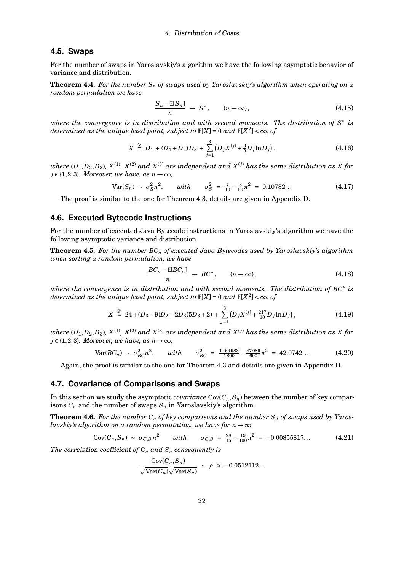#### 4. Distribution of Costs

### **4.5. Swaps**

For the number of swaps in Yaroslavskiy's algorithm we have the following asymptotic behavior of variance and distribution.

<span id="page-21-1"></span>**Theorem 4.4.** *For the number S<sup>n</sup> of swaps used by Yaroslavskiy's algorithm when operating on a random permutation we have*

$$
\frac{S_n - \mathbb{E}[S_n]}{n} \to S^*, \qquad (n \to \infty), \tag{4.15}
$$

*where the convergence is in distribution and with second moments. The distribution of S* ∗ *is*  $determined\ as\ the\ unique\ fixed\ point,\ subject\ to\  $\mathbb{E}[X] = 0\ and\ \mathbb{E}[X^2] < \infty,\ of$$ 

$$
X \stackrel{\mathscr{D}}{=} D_1 + (D_1 + D_2)D_3 + \sum_{j=1}^3 \left( D_j X^{(j)} + \frac{3}{5} D_j \ln D_j \right), \tag{4.16}
$$

 $w$ here (D $_1$ ,D $_2$ ,D $_3$ ),  $X^{(1)}$ ,  $X^{(2)}$  and  $X^{(3)}$  are independent and  $X^{(j)}$  has the same distribution as  $X$  for *j* ∈ {1,2,3}*. Moreover, we have, as*  $n \rightarrow \infty$ *,* 

$$
Var(S_n) \sim \sigma_S^2 n^2, \quad with \quad \sigma_S^2 = \frac{7}{10} - \frac{3}{50} n^2 = 0.10782... \tag{4.17}
$$

The proof is similar to the one for Theorem [4.3,](#page-20-2) details are given in Appendix [D.](#page-32-0)

# **4.6. Executed Bytecode Instructions**

For the number of executed Java Bytecode instructions in Yaroslavskiy's algorithm we have the following asymptotic variance and distribution.

<span id="page-21-2"></span>**Theorem 4.5.** *For the number BC<sup>n</sup> of executed Java Bytecodes used by Yaroslavskiy's algorithm when sorting a random permutation, we have*

$$
\frac{BC_n - \mathbb{E}[BC_n]}{n} \to BC^*, \qquad (n \to \infty), \tag{4.18}
$$

*where the convergence is in distribution and with second moments. The distribution of BC*<sup>∗</sup> *is*  $determined\ as\ the\ unique\ fixed\ point,\ subject\ to\  $\mathbb{E}[X] = 0\ and\ \mathbb{E}[X^2] < \infty,\ of$$ 

$$
X \stackrel{\mathscr{D}}{=} 24 + (D_3 - 9)D_2 - 2D_3(5D_3 + 2) + \sum_{j=1}^3 \left( D_j X^{(j)} + \frac{217}{10} D_j \ln D_j \right), \tag{4.19}
$$

 $w$ here (D $_1$ ,D $_2$ ,D $_3$ ),  $X^{(1)}$ ,  $X^{(2)}$  and  $X^{(3)}$  are independent and  $X^{(j)}$  has the same distribution as  $X$  for *j* ∈ {1,2,3}*. Moreover, we have, as*  $n \rightarrow \infty$ *,* 

$$
\text{Var}(BC_n) \sim \sigma_{BC}^2 n^2, \qquad with \qquad \sigma_{BC}^2 = \frac{1469983}{1800} - \frac{47089}{600} n^2 = 42.0742... \tag{4.20}
$$

Again, the proof is similar to the one for Theorem [4.3](#page-20-2) and details are given in Appendix [D.](#page-32-0)

### **4.7. Covariance of Comparisons and Swaps**

In this section we study the asymptotic *covariance*  $Cov(C_n, S_n)$  between the number of key comparisons  $C_n$  and the number of swaps  $S_n$  in Yaroslavskiy's algorithm.

<span id="page-21-0"></span>**Theorem 4.6.** For the number  $C_n$  of key comparisons and the number  $S_n$  of swaps used by Yaros*lavskiy's algorithm on a random permutation, we have for*  $n \rightarrow \infty$ 

$$
Cov(C_n, S_n) \sim \sigma_{C,S} n^2 \quad with \quad \sigma_{C,S} = \frac{28}{15} - \frac{19}{100} n^2 = -0.00855817... \tag{4.21}
$$

*The correlation coefficient of*  $C_n$  *and*  $S_n$  *consequently is* 

<span id="page-21-3"></span> $C^{\prime}$ <sup>2</sup>

$$
\frac{\text{Cov}(C_n, S_n)}{\sqrt{\text{Var}(C_n)}\sqrt{\text{Var}(S_n)}} \sim \rho \approx -0.0512112...
$$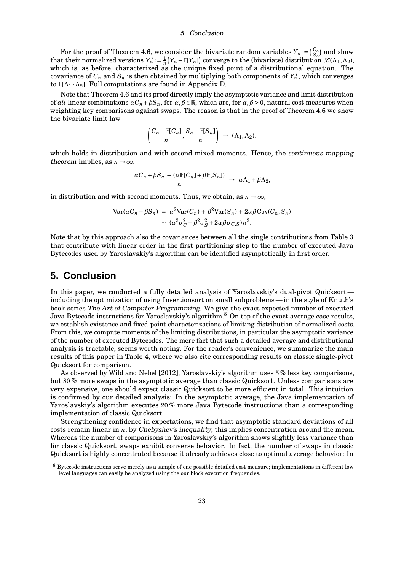#### 5. Conclusion

For the proof of Theorem [4.6,](#page-21-0) we consider the bivariate random variables  $Y_n := \begin{pmatrix} C_n \\ S_n \end{pmatrix}$  and show that their normalized versions  $Y_n^* := \frac{1}{n}(Y_n - \mathbb{E}[Y_n])$  converge to the (bivariate) distribution  $\mathscr{L}(\Lambda_1, \Lambda_2)$ , which is, as before, characterized as the unique fixed point of a distributional equation. The covariance of  $C_n$  and  $S_n$  is then obtained by multiplying both components of  $Y_n^*$ , which converges to  $\mathbb{E}[\Lambda_1 \cdot \Lambda_2]$ . Full computations are found in Appendix [D.](#page-32-0)

Note that Theorem [4.6](#page-21-0) and its proof directly imply the asymptotic variance and limit distribution of *all* linear combinations  $\alpha C_n + \beta S_n$ , for  $\alpha, \beta \in \mathbb{R}$ , which are, for  $\alpha, \beta > 0$ , natural cost measures when weighting key comparisons against swaps. The reason is that in the proof of Theorem [4.6](#page-21-0) we show the bivariate limit law

$$
\left(\frac{C_n - \mathbb{E}[C_n]}{n}, \frac{S_n - \mathbb{E}[S_n]}{n}\right) \to (\Lambda_1, \Lambda_2),
$$

which holds in distribution and with second mixed moments. Hence, the *continuous mapping* theorem implies, as  $n \to \infty$ ,

$$
\frac{\alpha C_n + \beta S_n - (\alpha \mathbb{E}[C_n] + \beta \mathbb{E}[S_n])}{n} \rightarrow \alpha \Lambda_1 + \beta \Lambda_2,
$$

in distribution and with second moments. Thus, we obtain, as  $n \to \infty$ ,

$$
Var(\alpha C_n + \beta S_n) = \alpha^2 Var(C_n) + \beta^2 Var(S_n) + 2\alpha \beta Cov(C_n, S_n)
$$
  
~ 
$$
\sim (\alpha^2 \sigma_C^2 + \beta^2 \sigma_S^2 + 2\alpha \beta \sigma_{C,S})n^2.
$$

Note that by this approach also the covariances between all the single contributions from Table [3](#page-19-0) that contribute with linear order in the first partitioning step to the number of executed Java Bytecodes used by Yaroslavskiy's algorithm can be identified asymptotically in first order.

# <span id="page-22-0"></span>**5. Conclusion**

In this paper, we conducted a fully detailed analysis of Yaroslavskiy's dual-pivot Quicksort including the optimization of using Insertionsort on small subproblems— in the style of Knuth's book series The Art of Computer Programming. We give the exact expected number of executed Java Bytecode instructions for Yaroslavskiy's algorithm.<sup>[8](#page-22-1)</sup> On top of the exact average case results, we establish existence and fixed-point characterizations of limiting distribution of normalized costs. From this, we compute moments of the limiting distributions, in particular the asymptotic variance of the number of executed Bytecodes. The mere fact that such a detailed average and distributional analysis is tractable, seems worth noting. For the reader's convenience, we summarize the main results of this paper in Table [4,](#page-23-0) where we also cite corresponding results on classic single-pivot Quicksort for comparison.

As observed by [Wild and Nebel](#page-40-9) [\[2012\]](#page-40-9), Yaroslavskiy's algorithm uses 5 % less key comparisons, but 80 % more swaps in the asymptotic average than classic Quicksort. Unless comparisons are very expensive, one should expect classic Quicksort to be more efficient in total. This intuition is confirmed by our detailed analysis: In the asymptotic average, the Java implementation of Yaroslavskiy's algorithm executes 20 % more Java Bytecode instructions than a corresponding implementation of classic Quicksort.

Strengthening confidence in expectations, we find that asymptotic standard deviations of all costs remain linear in *n*; by Chebyshev's inequality, this implies concentration around the mean. Whereas the number of comparisons in Yaroslavskiy's algorithm shows slightly less variance than for classic Quicksort, swaps exhibit converse behavior. In fact, the number of swaps in classic Quicksort is highly concentrated because it already achieves close to optimal average behavior: In

<span id="page-22-1"></span> $8$  Bytecode instructions serve merely as a sample of one possible detailed cost measure; implementations in different low level languages can easily be analyzed using the our block execution frequencies.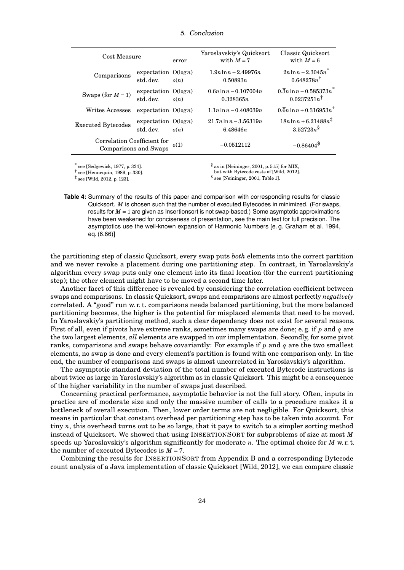#### 5. Conclusion

| Cost Measure                |                                      | error | Yaroslavskiy's Quicksort<br>with $M = 7$ | <b>Classic Quicksort</b><br>with $M = 6$                        |
|-----------------------------|--------------------------------------|-------|------------------------------------------|-----------------------------------------------------------------|
| Comparisons                 | expectation $O(\log n)$<br>std. dev. | o(n)  | $1.9n \ln n - 2.49976n$<br>0.50893n      | $2n \ln n - 2.3045n^*$<br>$0.648278n^{\dagger}$                 |
| Swaps (for $M = 1$ )        | expectation $O(\log n)$<br>std. dev. | o(n)  | $0.6n \ln n - 0.107004n$<br>0.328365n    | $0.\overline{3}n \ln n - 0.585373n^*$<br>$0.0237251n^{\dagger}$ |
| Writes Accesses             | expectation $O(\log n)$              |       | $1.1n \ln n - 0.408039n$                 | $0.\bar{6}n \ln n + 0.316953n^*$                                |
| <b>Executed Bytecodes</b>   | expectation $O(\log n)$<br>std. dev. | o(n)  | $21.7n \ln n - 3.56319n$<br>6.48646n     | $18n \ln n + 6.21488n^{\ddagger}$<br>$3.52723n^8$               |
| Correlation Coefficient for | Comparisons and Swaps                | o(1)  | $-0.0512112$                             | $-0.86404*$                                                     |
|                             |                                      |       |                                          |                                                                 |

<span id="page-23-1"></span>\* see [\[Sedgewick, 1977,](#page-40-1) p. 334].

<span id="page-23-2"></span>† see [\[Hennequin, 1989,](#page-39-5) p. 330].

<span id="page-23-4"></span> $§$  as in [\[Neininger, 2001,](#page-40-15) p. 515] for MIX, but with Bytecode costs of [\[Wild, 2012\]](#page-40-8).

<span id="page-23-3"></span><span id="page-23-0"></span>‡ see [\[Wild, 2012,](#page-40-8) p. 123].

<span id="page-23-5"></span> $\$$ see [\[Neininger, 2001,](#page-40-15) Table 1].

**Table 4:** Summary of the results of this paper and comparison with corresponding results for classic Quicksort. *M* is chosen such that the number of executed Bytecodes in minimized. (For swaps, results for *M* = 1 are given as Insertionsort is not swap-based.) Some asymptotic approximations have been weakened for conciseness of presentation, see the main text for full precision. The asymptotics use the well-known expansion of Harmonic Numbers [e. g. [Graham et al. 1994,](#page-39-19) eq. (6.66)]

the partitioning step of classic Quicksort, every swap puts *both* elements into the correct partition and we never revoke a placement during one partitioning step. In contrast, in Yaroslavskiy's algorithm every swap puts only one element into its final location (for the current partitioning step); the other element might have to be moved a second time later.

Another facet of this difference is revealed by considering the correlation coefficient between swaps and comparisons. In classic Quicksort, swaps and comparisons are almost perfectly *negatively* correlated. A "good" run w. r. t. comparisons needs balanced partitioning, but the more balanced partitioning becomes, the higher is the potential for misplaced elements that need to be moved. In Yaroslavskiy's partitioning method, such a clear dependency does not exist for several reasons. First of all, even if pivots have extreme ranks, sometimes many swaps are done; e. g. if *p* and *q* are the two largest elements, *all* elements are swapped in our implementation. Secondly, for some pivot ranks, comparisons and swaps behave covariantly: For example if *p* and *q* are the two smallest elements, no swap is done and every element's partition is found with one comparison only. In the end, the number of comparisons and swaps is almost uncorrelated in Yaroslavskiy's algorithm.

The asymptotic standard deviation of the total number of executed Bytecode instructions is about twice as large in Yaroslavskiy's algorithm as in classic Quicksort. This might be a consequence of the higher variability in the number of swaps just described.

Concerning practical performance, asymptotic behavior is not the full story. Often, inputs in practice are of moderate size and only the massive number of calls to a procedure makes it a bottleneck of overall execution. Then, lower order terms are not negligible. For Quicksort, this means in particular that constant overhead per partitioning step has to be taken into account. For tiny *n*, this overhead turns out to be so large, that it pays to switch to a simpler sorting method instead of Quicksort. We showed that using INSERTIONSORT for subproblems of size at most *M* speeds up Yaroslavskiy's algorithm significantly for moderate *n*. The optimal choice for *M* w. r. t. the number of executed Bytecodes is  $M = 7$ .

Combining the results for INSERTIONSORT from Appendix [B](#page-29-0) and a corresponding Bytecode count analysis of a Java implementation of classic Quicksort [\[Wild, 2012\]](#page-40-8), we can compare classic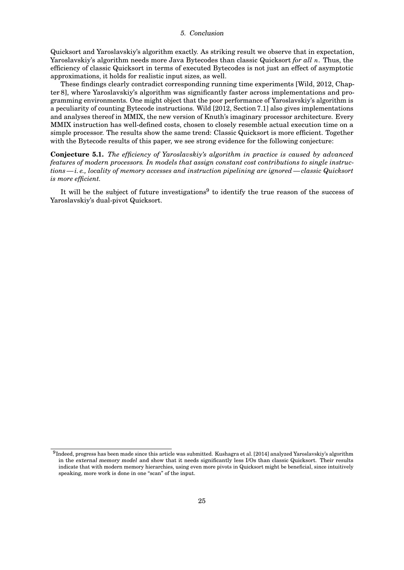#### 5. Conclusion

Quicksort and Yaroslavskiy's algorithm exactly. As striking result we observe that in expectation, Yaroslavskiy's algorithm needs more Java Bytecodes than classic Quicksort *for all n*. Thus, the efficiency of classic Quicksort in terms of executed Bytecodes is not just an effect of asymptotic approximations, it holds for realistic input sizes, as well.

These findings clearly contradict corresponding running time experiments [\[Wild, 2012,](#page-40-8) Chapter 8], where Yaroslavskiy's algorithm was significantly faster across implementations and programming environments. One might object that the poor performance of Yaroslavskiy's algorithm is a peculiarity of counting Bytecode instructions. [Wild](#page-40-8) [\[2012,](#page-40-8) Section 7.1] also gives implementations and analyses thereof in MMIX, the new version of Knuth's imaginary processor architecture. Every MMIX instruction has well-defined costs, chosen to closely resemble actual execution time on a simple processor. The results show the same trend: Classic Quicksort is more efficient. Together with the Bytecode results of this paper, we see strong evidence for the following conjecture:

**Conjecture 5.1.** *The efficiency of Yaroslavskiy's algorithm in practice is caused by advanced features of modern processors. In models that assign constant cost contributions to single instructions — i. e., locality of memory accesses and instruction pipelining are ignored — classic Quicksort is more efficient.*

It will be the subject of future investigations<sup>[9](#page-24-0)</sup> to identify the true reason of the success of Yaroslavskiy's dual-pivot Quicksort.

<span id="page-24-0"></span> $^9$ Indeed, progress has been made since this article was submitted. [Kushagra et al.](#page-40-17) [\[2014\]](#page-40-17) analyzed Yaroslavskiy's algorithm in the external memory model and show that it needs significantly less I/Os than classic Quicksort. Their results indicate that with modern memory hierarchies, using even more pivots in Quicksort might be beneficial, since intuitively speaking, more work is done in one "scan" of the input.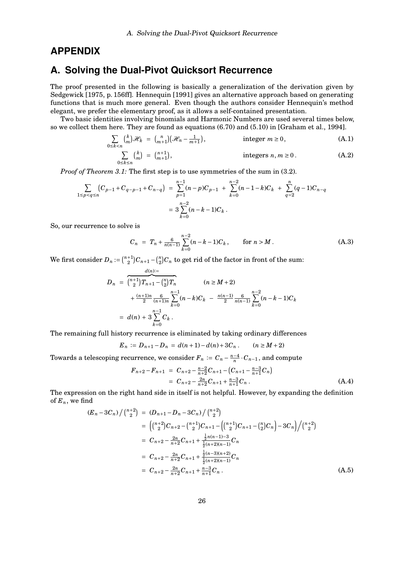# **APPENDIX**

# <span id="page-25-0"></span>**A. Solving the Dual-Pivot Quicksort Recurrence**

The proof presented in the following is basically a generalization of the derivation given by [Sedgewick](#page-40-0) [\[1975,](#page-40-0) p. 156ff]. [Hennequin](#page-39-12) [\[1991\]](#page-39-12) gives an alternative approach based on generating functions that is much more general. Even though the authors consider Hennequin's method elegant, we prefer the elementary proof, as it allows a self-contained presentation.

Two basic identities involving binomials and Harmonic Numbers are used several times below, so we collect them here. They are found as equations (6.70) and (5.10) in [\[Graham et al., 1994\]](#page-39-19).

<span id="page-25-4"></span>
$$
\sum_{0 \le k < n} {k \choose m} \mathcal{H}_k = {n \choose m+1} (\mathcal{H}_n - \frac{1}{m+1}), \qquad \text{integer } m \ge 0,
$$
\n(A.1)\n
$$
\sum_{0 \le k \le n} {k \choose m} = {n+1 \choose m+1}, \qquad \text{integers } n, m \ge 0.
$$
\n(A.2)

*Proof of Theorem [3.1:](#page-6-3)* The first step is to use symmetries of the sum in  $(3.2)$ .

$$
\sum_{1 \le p < q \le n} \left( C_{p-1} + C_{q-p-1} + C_{n-q} \right) = \sum_{p=1}^{n-1} (n-p)C_{p-1} + \sum_{k=0}^{n-2} (n-1-k)C_k + \sum_{q=2}^n (q-1)C_{n-q}
$$
\n
$$
= 3 \sum_{k=0}^{n-2} (n-k-1)C_k.
$$

So, our recurrence to solve is

<span id="page-25-3"></span>
$$
C_n = T_n + \frac{6}{n(n-1)} \sum_{k=0}^{n-2} (n-k-1)C_k, \qquad \text{for } n > M.
$$
 (A.3)

We first consider  $D_n := \binom{n+1}{2}C_{n+1} - \binom{n}{2}C_n$  to get rid of the factor in front of the sum:

$$
D_n = \overbrace{\binom{n+1}{2}}^{d(n):=n} T_{n+1} - \binom{n}{2} T_n \qquad (n \ge M+2)
$$
  
+ 
$$
\frac{(n+1)n}{2} \frac{6}{(n+1)n} \sum_{k=0}^{n-1} (n-k) C_k - \frac{n(n-1)}{2} \frac{6}{n(n-1)} \sum_{k=0}^{n-2} (n-k-1) C_k
$$
  
= 
$$
d(n) + 3 \sum_{k=0}^{n-1} C_k.
$$

The remaining full history recurrence is eliminated by taking ordinary differences

$$
E_n := D_{n+1} - D_n = d(n+1) - d(n) + 3C_n \, . \qquad (n \ge M + 2)
$$

Towards a telescoping recurrence, we consider  $F_n := C_n - \frac{n-4}{n} \cdot C_{n-1}$ , and compute

<span id="page-25-2"></span><span id="page-25-1"></span>
$$
F_{n+2} - F_{n+1} = C_{n+2} - \frac{n-2}{n+2}C_{n+1} - (C_{n+1} - \frac{n-3}{n+1}C_n)
$$
  
=  $C_{n+2} - \frac{2n}{n+2}C_{n+1} + \frac{n-3}{n+1}C_n$ . (A.4)

The expression on the right hand side in itself is not helpful. However, by expanding the definition of  $E_n$ , we find

$$
(E_n - 3C_n) / \binom{n+2}{2} = (D_{n+1} - D_n - 3C_n) / \binom{n+2}{2}
$$
  
\n
$$
= \binom{n+2}{2}C_{n+2} - \binom{n+1}{2}C_{n+1} - \binom{n+1}{2}C_{n+1} - \binom{n}{2}C_n - 3C_n / \binom{n+2}{2}
$$
  
\n
$$
= C_{n+2} - \frac{2n}{n+2}C_{n+1} + \frac{\frac{1}{2}n(n-1)-3}{\frac{1}{2}(n+2)(n-1)}C_n
$$
  
\n
$$
= C_{n+2} - \frac{2n}{n+2}C_{n+1} + \frac{\frac{1}{2}(n-3)(n+2)}{\frac{1}{2}(n+2)(n-1)}C_n
$$
  
\n
$$
= C_{n+2} - \frac{2n}{n+2}C_{n+1} + \frac{n-3}{n+1}C_n.
$$
 (A.5)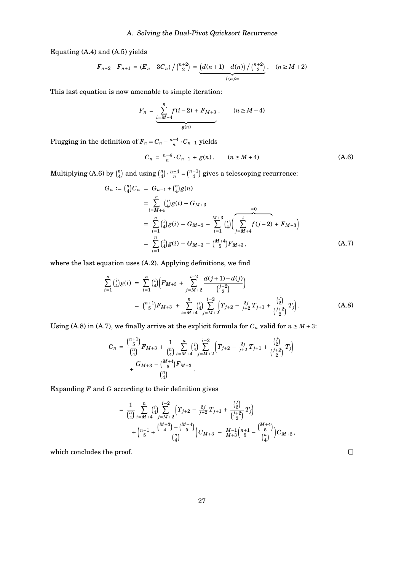# A. Solving the Dual-Pivot Quicksort Recurrence

Equating [\(A.4\)](#page-25-1) and [\(A.5\)](#page-25-2) yields

$$
F_{n+2} - F_{n+1} = (E_n - 3C_n) / \binom{n+2}{2} = \underbrace{\left(d(n+1) - d(n)\right) / \binom{n+2}{2}}_{f(n):=} . \quad (n \ge M+2)
$$

This last equation is now amenable to simple iteration:

$$
F_n = \underbrace{\sum_{i=M+4}^{n} f(i-2) + F_{M+3}}_{g(n)} \cdot (n \ge M+4)
$$

Plugging in the definition of  $F_n = C_n - \frac{n-4}{n} \cdot C_{n-1}$  yields

<span id="page-26-2"></span><span id="page-26-0"></span>
$$
C_n = \frac{n-4}{n} \cdot C_{n-1} + g(n) \tag{A.6}
$$

Multiplying [\(A.6\)](#page-26-0) by  $\binom{n}{4}$  and using  $\binom{n}{4} \cdot \frac{n-4}{n} = \binom{n-1}{4}$  gives a telescoping recurrence:

$$
G_n := \binom{n}{4} C_n = G_{n-1} + \binom{n}{4} g(n)
$$
  
\n
$$
= \sum_{i=M+4}^{n} \binom{i}{4} g(i) + G_{M+3}
$$
  
\n
$$
= \sum_{i=1}^{n} \binom{i}{4} g(i) + G_{M+3} - \sum_{i=1}^{M+3} \binom{i}{4} \left( \sum_{j=M+4}^{i} f(j-2) + F_{M+3} \right)
$$
  
\n
$$
= \sum_{i=1}^{n} \binom{i}{4} g(i) + G_{M+3} - \binom{M+4}{5} F_{M+3}, \tag{A.7}
$$

where the last equation uses [\(A.2\)](#page-25-3). Applying definitions, we find

$$
\sum_{i=1}^{n} {i \choose 4} g(i) = \sum_{i=1}^{n} {i \choose 4} \Big( F_{M+3} + \sum_{j=M+2}^{i-2} \frac{d(j+1) - d(j)}{(j+2) \choose 2} \n= {n+1 \choose 5} F_{M+3} + \sum_{i=M+4}^{n} {i \choose 4} \sum_{j=M+2}^{i-2} \Big( T_{j+2} - \frac{2j}{j+2} T_{j+1} + \frac{{j \choose 2}}{{j+2 \choose 2}} T_j \Big).
$$
\n(A.8)

Using [\(A.8\)](#page-26-1) in [\(A.7\)](#page-26-2), we finally arrive at the explicit formula for  $C_n$  valid for  $n \ge M + 3$ :

$$
C_n = \frac{\binom{n+1}{5}}{\binom{n}{4}} F_{M+3} + \frac{1}{\binom{n}{4}} \sum_{i=M+4}^n \binom{i}{j} \sum_{j=M+2}^{i-2} \left( T_{j+2} - \frac{2j}{j+2} T_{j+1} + \frac{\binom{j}{2}}{\binom{j+2}{2}} T_j \right) + \frac{G_{M+3} - \binom{M+4}{5} F_{M+3}}{\binom{n}{4}}.
$$

Expanding *F* and *G* according to their definition gives

$$
= \frac{1}{\binom{n}{4}} \sum_{i=M+4}^{n} \binom{i}{j} \sum_{j=M+2}^{i-2} \left( T_{j+2} - \frac{2j}{j+2} T_{j+1} + \frac{\binom{j}{2}}{\binom{j+2}{2}} T_j \right) + \left( \frac{n+1}{5} + \frac{\binom{M+3}{4} - \binom{M+4}{5}}{\binom{n}{4}} \right) C_{M+3} - \frac{M-1}{M+3} \left( \frac{n+1}{5} - \frac{\binom{M+4}{5}}{\binom{n}{4}} \right) C_{M+2},
$$

which concludes the proof.

<span id="page-26-1"></span> $\Box$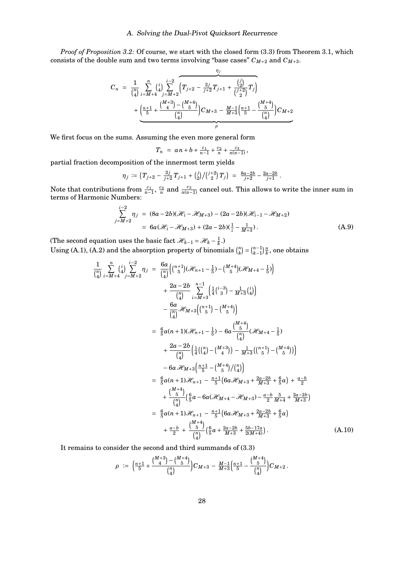# A. Solving the Dual-Pivot Quicksort Recurrence

*Proof of Proposition [3.2:](#page-6-6)* Of course, we start with the closed form [\(3.3\)](#page-6-4) from Theorem [3.1,](#page-6-3) which consists of the double sum and two terms involving "base cases"  $C_{M+2}$  and  $C_{M+3}$ .

$$
C_n = \frac{1}{\binom{n}{4}} \sum_{i=M+4}^{n} \binom{i}{j} \sum_{j=M+2}^{i-2} \left( T_{j+2} - \frac{2j}{j+2} T_{j+1} + \frac{\binom{j}{2}}{\binom{j+2}{2}} T_j \right) + \underbrace{\left( \frac{n+1}{5} + \frac{\binom{M+3}{4} - \binom{M+4}{5}}{\binom{n}{4}} \right)}_{\text{(4)}} C_{M+3} - \frac{M-1}{M+3} \left( \frac{n+1}{5} - \frac{\binom{M+4}{5}}{\binom{n}{4}} \right) C_{M+2}
$$

We first focus on the sums. Assuming the even more general form

$$
T_n = a n + b + \frac{c_1}{n-1} + \frac{c_2}{n} + \frac{c_3}{n(n-1)},
$$

partial fraction decomposition of the innermost term yields

$$
\eta_j := (T_{j+2} - \frac{2j}{j+2} T_{j+1} + {j \choose 2} / {j+2 \choose 2} T_j) = \frac{8a-2b}{j+2} - \frac{2a-2b}{j+1}.
$$

Note that contributions from  $\frac{c_1}{n-1}$ ,  $\frac{c_2}{n}$  and  $\frac{c_3}{n(n-1)}$  cancel out. This allows to write the inner sum in terms of Harmonic Numbers:

$$
\sum_{j=M+2}^{i-2} \eta_j = (8a - 2b)(\mathcal{H}_i - \mathcal{H}_{M+3}) - (2a - 2b)(\mathcal{H}_{i-1} - \mathcal{H}_{M+2})
$$
  
=  $6a(\mathcal{H}_i - \mathcal{H}_{M+3}) + (2a - 2b)(\frac{1}{i} - \frac{1}{M+3}).$  (A.9)

(The second equation uses the basic fact  $\mathcal{H}_{k-1} = \mathcal{H}_k - \frac{1}{k}$ .) Using [\(A.1\)](#page-25-4), [\(A.2\)](#page-25-3) and the absorption property of binomials  $\binom{n}{k} = \binom{n-1}{k-1} \frac{n}{k}$ , one obtains

$$
\frac{1}{\binom{n}{4}} \sum_{i=M+4}^{n} \sum_{j=M+2}^{i-2} \eta_j = \frac{6a}{\binom{n}{4}} \left( \binom{n+1}{5} (\mathcal{H}_{n+1} - \frac{1}{5}) - \binom{M+4}{5} (\mathcal{H}_{M+4} - \frac{1}{5}) \right) \n+ \frac{2a - 2b}{\binom{n}{4}} \sum_{i=M+3}^{n-1} \left( \frac{1}{4} \binom{i-3}{3} - \frac{1}{M+3} \binom{i}{4} \right) \n- \frac{6a}{\binom{n}{4}} \mathcal{H}_{M+3} \left( \binom{n+1}{5} - \binom{M+4}{5} \right) \n= \frac{6}{5} a(n+1) (\mathcal{H}_{n+1} - \frac{1}{5}) - 6a \frac{\binom{M+4}{5}}{\binom{n}{4}} (\mathcal{H}_{M+4} - \frac{1}{5}) \n+ \frac{2a - 2b}{\binom{n}{4}} \left( \frac{1}{4} \left( \binom{n}{4} - \binom{M+3}{4} \right) - \frac{1}{M+3} \left( \binom{n+1}{5} - \binom{M+4}{5} \right) \right) \n- 6a \mathcal{H}_{M+3} \left( \frac{n+1}{5} - \binom{M+4}{5} / \binom{n}{4} \right) \n= \frac{6}{5} a(n+1) \mathcal{H}_{n+1} - \frac{n+1}{5} \left( 6a \mathcal{H}_{M+3} + \frac{2a - 2b}{M+3} + \frac{6}{5}a \right) + \frac{a - b}{2} \n+ \frac{\binom{M+4}{5}}{\binom{n}{4}} \left( \frac{6}{5}a - 6a (\mathcal{H}_{M+4} - \mathcal{H}_{M+3}) - \frac{a - b}{2} \frac{5}{M+4} + \frac{2a - 2b}{M+3} \right) \n= \frac{6}{5} a(n+1) \mathcal{H}_{n+1} - \frac{n+1}{5} \left( 6a \mathcal{H}_{M+3} + \frac{2a - 2b}{M+3} + \frac{6}{5}a \right) \n+ \frac{a - b}{2} + \frac{\binom{M+4}{5}}{\binom
$$

It remains to consider the second and third summands of [\(3.3\)](#page-6-4)

<span id="page-27-0"></span>
$$
\rho \; := \; \Big( \tfrac{n+1}{5} + \frac{M+3}{4} \Big) - \frac{M+4}{5} \Big) C_{M+3} \; - \; \tfrac{M-1}{M+3} \Big( \tfrac{n+1}{5} - \frac{M+4}{4} \Big) C_{M+2} \; .
$$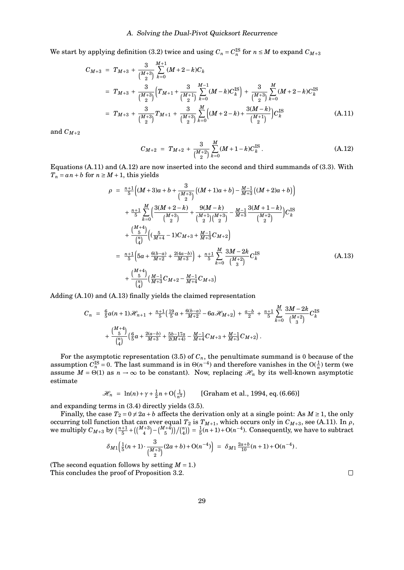#### A. Solving the Dual-Pivot Quicksort Recurrence

We start by applying definition [\(3.2\)](#page-6-2) twice and using  $C_n = C_n^{\text{IS}}$  for  $n \leq M$  to expand  $C_{M+3}$ 

$$
C_{M+3} = T_{M+3} + \frac{3}{\binom{M+3}{2}} \sum_{k=0}^{M+1} (M+2-k)C_k
$$
  
=  $T_{M+3} + \frac{3}{\binom{M+3}{2}} \left( T_{M+1} + \frac{3}{\binom{M+1}{2}} \sum_{k=0}^{M-1} (M-k)C_k^{IS} \right) + \frac{3}{\binom{M+3}{2}} \sum_{k=0}^{M} (M+2-k)C_k^{IS}$   
=  $T_{M+3} + \frac{3}{\binom{M+3}{2}} T_{M+1} + \frac{3}{\binom{M+3}{2}} \sum_{k=0}^{M} \left( (M+2-k) + \frac{3(M-k)}{\binom{M+1}{2}} \right) C_k^{IS}$  (A.11)

and *CM*+<sup>2</sup>

<span id="page-28-2"></span><span id="page-28-1"></span><span id="page-28-0"></span>
$$
C_{M+2} = T_{M+2} + \frac{3}{\binom{M+2}{2}} \sum_{k=0}^{M} (M+1-k) C_k^{\text{IS}}.
$$
 (A.12)

Equations [\(A.11\)](#page-28-0) and [\(A.12\)](#page-28-1) are now inserted into the second and third summands of [\(3.3\)](#page-6-4). With  $T_n = a n + b$  for  $n \geq M + 1$ , this yields

$$
\rho = \frac{n+1}{5} \Big( (M+3)a + b + \frac{3}{\binom{M+3}{2}} \left( (M+1)a + b \right) - \frac{M-1}{M+3} \left( (M+2)a + b \right) \Big) \n+ \frac{n+1}{5} \sum_{k=0}^{M} \Big( \frac{3(M+2-k)}{\binom{M+3}{2}} + \frac{9(M-k)}{\binom{M+1}{2}} \Big( \frac{M-1}{2} \Big)^{M+3} - \frac{M-1}{M+3} \frac{3(M+1-k)}{\binom{M+2}{2}} \Big) C_k^{\text{IS}} \n+ \frac{\binom{M+4}{5}}{\binom{n}{4}} \Big( \frac{5}{M+4} - 1) C_{M+3} + \frac{M-1}{M+3} C_{M+2} \Big) \n= \frac{n+1}{5} \Big( 5a + \frac{6(b-a)}{M+2} + \frac{2(4a-b)}{M+3} \Big) + \frac{n+1}{5} \sum_{k=0}^{M} \frac{3M-2k}{\binom{M+2}{3}} C_k^{\text{IS}} \n+ \frac{\binom{M+4}{5}}{\binom{n}{4}} \Big( \frac{M-1}{M+3} C_{M+2} - \frac{M-1}{M+4} C_{M+3} \Big)
$$
\n(A.13)

Adding [\(A.10\)](#page-27-0) and [\(A.13\)](#page-28-2) finally yields the claimed representation

$$
C_n = \frac{6}{5}a(n+1)\mathcal{H}_{n+1} + \frac{n+1}{5}\left(\frac{19}{5}a + \frac{6(b-a)}{M+2} - 6a\mathcal{H}_{M+2}\right) + \frac{a-b}{2} + \frac{n+1}{5}\sum_{k=0}^{M}\frac{3M-2k}{\binom{M+2}{3}}C_k^{IS}
$$

$$
+ \frac{\binom{M+4}{5}}{\binom{n}{4}}\left(\frac{6}{5}a + \frac{2(a-b)}{M+3} + \frac{5b-17a}{2(M+4)} - \frac{M-1}{M+4}C_{M+3} + \frac{M-1}{M+3}C_{M+2}\right).
$$

For the asymptotic representation [\(3.5\)](#page-7-0) of *Cn*, the penultimate summand is 0 because of the assumption  $C_n^{\text{IS}} = 0$ . The last summand is in  $\Theta(n^{-4})$  and therefore vanishes in the  $O(\frac{1}{n})$  term (we assume  $M = \Theta(1)$  as  $n \to \infty$  to be constant). Now, replacing  $\mathcal{H}_n$  by its well-known asymptotic estimate

$$
\mathcal{H}_n = \ln(n) + \gamma + \frac{1}{2}n + O(\frac{1}{n^2})
$$
 [Graham et al., 1994, eq. (6.66)]

and expanding terms in [\(3.4\)](#page-6-5) directly yields [\(3.5\)](#page-7-0).

Finally, the case  $T_2 = 0 \neq 2a + b$  affects the derivation only at a single point: As  $M \ge 1$ , the only occurring toll function that can ever equal  $T_2$  is  $T_{M+1}$ , which occurs only in  $C_{M+3}$ , see [\(A.11\)](#page-28-0). In *ρ*,  $\frac{1}{2}$  we multiply  $C_{M+3}$  by  $\left(\frac{n+1}{5} + \left(\binom{M+3}{4} - \binom{M+4}{5}\right)/\binom{n}{4}\right) = \frac{1}{5}(n+1) + O(n^{-4})$ . Consequently, we have to subtract

$$
\delta_{M1}\Big(\tfrac{1}{5}(n+1)\cdot\frac{3}{\binom{M+3}{2}}(2a+b)+O(n^{-4})\Big) = \delta_{M1}\frac{2a+b}{10}(n+1)+O(n^{-4}).
$$

(The second equation follows by setting  $M = 1$ .) This concludes the proof of Proposition [3.2.](#page-6-6)

 $\Box$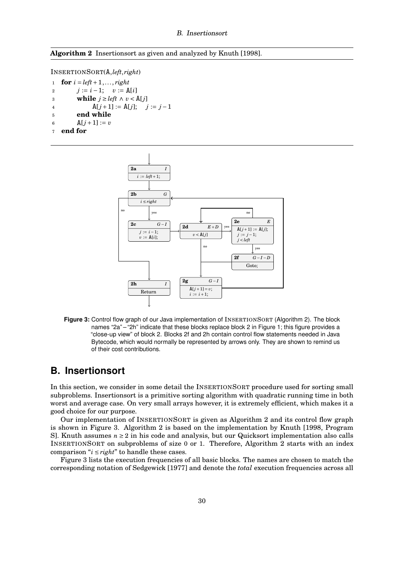<span id="page-29-1"></span>

|  |  |  | <b>Algorithm 2</b> Insertionsort as given and analyzed by Knuth [1998]. |  |  |  |  |  |  |  |  |  |  |
|--|--|--|-------------------------------------------------------------------------|--|--|--|--|--|--|--|--|--|--|
|--|--|--|-------------------------------------------------------------------------|--|--|--|--|--|--|--|--|--|--|

INSERTIONSORT(A,*left*,*right*)

```
1 for i = left + 1, ..., right2 j := i - 1; v := A[i]<br>3 while i > left \land v < i3 while j \geq left \land v < A[j]<br>4 A[i+1] := A[i]:
4 A[j+1] := A[j]; \quad j := j-1<br>5 end while
           end while
6 A[j+1] := v<br>7 end for
    end for
```
<span id="page-29-9"></span><span id="page-29-8"></span><span id="page-29-7"></span><span id="page-29-6"></span><span id="page-29-5"></span><span id="page-29-2"></span>

<span id="page-29-10"></span><span id="page-29-4"></span><span id="page-29-3"></span>**Figure 3:** Control flow graph of our Java implementation of INSERTIONSORT (Algorithm [2\)](#page-29-1). The block names "2a" – "2h" indicate that these blocks replace block [2](#page-8-2) in Figure [1;](#page-8-0) this figure provides a "close-up view" of block [2.](#page-8-2) Blocks [2f](#page-29-2) and [2h](#page-29-3) contain control flow statements needed in Java Bytecode, which would normally be represented by arrows only. They are shown to remind us of their cost contributions.

# <span id="page-29-0"></span>**B. Insertionsort**

In this section, we consider in some detail the INSERTIONSORT procedure used for sorting small subproblems. Insertionsort is a primitive sorting algorithm with quadratic running time in both worst and average case. On very small arrays however, it is extremely efficient, which makes it a good choice for our purpose.

Our implementation of INSERTIONSORT is given as Algorithm [2](#page-29-1) and its control flow graph is shown in Figure [3.](#page-29-4) Algorithm [2](#page-29-1) is based on the implementation by [Knuth](#page-39-4) [\[1998,](#page-39-4) Program S]. Knuth assumes  $n \geq 2$  in his code and analysis, but our Quicksort implementation also calls INSERTIONSORT on subproblems of size 0 or 1. Therefore, Algorithm [2](#page-29-1) starts with an index comparison " $i \leq right$ " to handle these cases.

Figure [3](#page-29-4) lists the execution frequencies of all basic blocks. The names are chosen to match the corresponding notation of [Sedgewick](#page-40-1) [\[1977\]](#page-40-1) and denote the *total* execution frequencies across all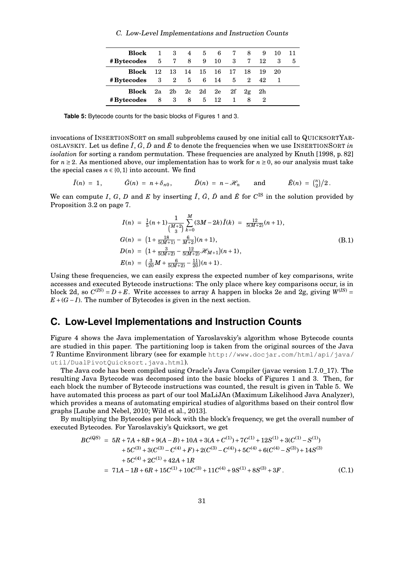#### C. Low-Level Implementations and Instruction Counts

| <b>Block</b> $1 \t3$               |     | $\overline{4}$ |            | 5 6 | 7        | 8              | 9            | 10  | -11 |
|------------------------------------|-----|----------------|------------|-----|----------|----------------|--------------|-----|-----|
| # Bytecodes                        |     |                | 5 7 8 9 10 |     | $\sim$ 3 | 7              | 12           | 3   | 5   |
| <b>Block</b> 12 13 14 15 16 17 18  |     |                |            |     |          |                | - 19         | -20 |     |
| $# \text{Bytes}$ 3 2 5 6 14        |     |                |            |     |          | $5 \t 2 \t 42$ |              |     |     |
| <b>Block</b> 2a $2b$ 2c $2d$ 2e 2f |     |                |            |     |          |                | $2\sigma$ 2h |     |     |
| # Bytecodes                        | 8 3 |                | 8 5 12     |     |          | 8              |              |     |     |

<span id="page-30-1"></span>**Table 5:** Bytecode counts for the basic blocks of Figures [1](#page-8-0) and [3.](#page-29-4)

invocations of INSERTIONSORT on small subproblems caused by one initial call to QUICKSORTYAR-OSLAVSKIY. Let us define  $\tilde{I},\tilde{G},\tilde{D}$  and  $\tilde{E}$  to denote the frequencies when we use INSERTIONSORT  $in$ *isolation* for sorting a random permutation. These frequencies are analyzed by [Knuth](#page-39-4) [\[1998,](#page-39-4) p. 82] for  $n \geq 2$ . As mentioned above, our implementation has to work for  $n \geq 0$ , so our analysis must take the special cases  $n \in \{0,1\}$  into account. We find

$$
\tilde{I}(n) = 1, \qquad \tilde{G}(n) = n + \delta_{n0}, \qquad \tilde{D}(n) = n - \mathcal{H}_n \qquad \text{and} \qquad \tilde{E}(n) = \binom{n}{2}/2.
$$

We can compute *I*, *G*, *D* and *E* by inserting  $\tilde{I}$ ,  $\tilde{G}$ ,  $\tilde{D}$  and  $\tilde{E}$  for  $C^{\text{IS}}$  in the solution provided by Proposition [3.2](#page-6-6) on page [7.](#page-6-6)

$$
I(n) = \frac{1}{5}(n+1)\frac{1}{\binom{M+2}{3}}\sum_{k=0}^{M}(3M-2k)\tilde{I}(k) = \frac{12}{5(M+2)}(n+1),
$$
  
\n
$$
G(n) = \left(1 + \frac{18}{5(M+1)} - \frac{6}{M+2}\right)(n+1),
$$
  
\n
$$
D(n) = \left(1 + \frac{3}{5(M+2)} - \frac{12}{5(M+2)}\mathcal{H}_{M+1}\right)(n+1),
$$
  
\n
$$
E(n) = \left(\frac{3}{20}M + \frac{6}{5(M+2)} - \frac{11}{20}\right)(n+1).
$$
\n(B.1)

Using these frequencies, we can easily express the expected number of key comparisons, write accesses and executed Bytecode instructions: The only place where key comparisons occur, is in block [2d,](#page-29-8) so  $C^{(IS)} = D + E$ . Write accesses to array A happen in blocks [2e](#page-29-9) and [2g,](#page-29-10) giving  $W^{(IS)} =$  $E+(G-I)$ . The number of Bytecodes is given in the next section.

# <span id="page-30-0"></span>**C. Low-Level Implementations and Instruction Counts**

Figure [4](#page-31-0) shows the Java implementation of Yaroslavskiy's algorithm whose Bytecode counts are studied in this paper. The partitioning loop is taken from the original sources of the Java 7 Runtime Environment library (see for example [http://www.docjar.com/html/api/java/](http://www.docjar.com/html/api/java/util/DualPivotQuicksort.java.html) [util/DualPivotQuicksort.java.html](http://www.docjar.com/html/api/java/util/DualPivotQuicksort.java.html)).

The Java code has been compiled using Oracle's Java Compiler (javac version 1.7.0\_17). The resulting Java Bytecode was decomposed into the basic blocks of Figures [1](#page-8-0) and [3.](#page-29-4) Then, for each block the number of Bytecode instructions was counted, the result is given in Table [5.](#page-30-1) We have automated this process as part of our tool MaLiJAn (Maximum Likelihood Java Analyzer), which provides a means of automating empirical studies of algorithms based on their control flow graphs [\[Laube and Nebel, 2010;](#page-40-18) [Wild et al., 2013\]](#page-41-0).

By multiplying the Bytecodes per block with the block's frequency, we get the overall number of executed Bytecodes. For Yaroslavskiy's Quicksort, we get

$$
BC^{(QS)} = 5R + 7A + 8B + 9(A - B) + 10A + 3(A + C^{(1)}) + 7C^{(1)} + 12S^{(1)} + 3(C^{(1)} - S^{(1)}) + 5C^{(3)} + 3(C^{(3)} - C^{(4)} + F) + 2(C^{(3)} - C^{(4)}) + 5C^{(4)} + 6(C^{(4)} - S^{(3)}) + 14S^{(3)} + 5C^{(4)} + 2C^{(1)} + 42A + 1R = 71A - 1B + 6R + 15C^{(1)} + 10C^{(3)} + 11C^{(4)} + 9S^{(1)} + 8S^{(3)} + 3F.
$$
 (C.1)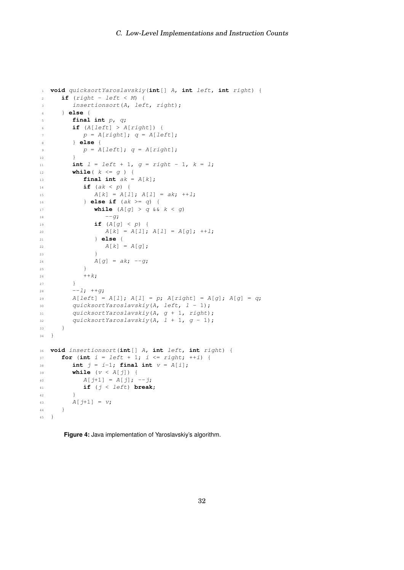```
1 void quicksortYaroslavskiy(int[] A, int left, int right) {
\frac{1}{2} if (right - left < M) {
3 insertionsort(A, left, right);
4 } else {
5 final int p, q;
6 if (A[left] > A[right]) {
p = A[right]; q = A[left];8 } else {
9 p = A[left]; q = A[right];
10 }
11 int l = left + 1, g = right - 1, k = l;
12 while(k \leq g) {
13 final int ak = A[k];
14 if (ak < p) {
15 A[k] = A[1]; A[1] = ak; +1;16 } else if (ak >= q) {
17 while (A[g] > q \& k < g)18 --q;19 if (A[g] < p) {
20 A[k] = A[1]; A[1] = A[g]; ++1;21 } else {
22 A[k] = A[g];
23 }
24 A[g] = ak; -g;25 }
26 ++k;27 }
28 -1; +q;29 A[left] = A[1]; A[1] = p; A[right] = A[g]; A[g] = q;30 quicksortYaroslavskiy(A, left, l - 1);
31 quicksortYaroslavskiy(A, g + 1, right);
32 quicksortYaroslavskiy(A, l + 1, g - 1);
33 }
34 }
36 void insertionsort(int[] A, int left, int right) {
37 for (int i = left + 1; i \leq right; ++i) {
38 int j = i-1; final int v = A[i];
39 while (v < A[j]) {
40 A[j+1] = A[j]; \, -j;41 if (j < left) break;
42 }
43 A[j+1] = v;44 }
45 }
```
<span id="page-31-0"></span>**Figure 4:** Java implementation of Yaroslavskiy's algorithm.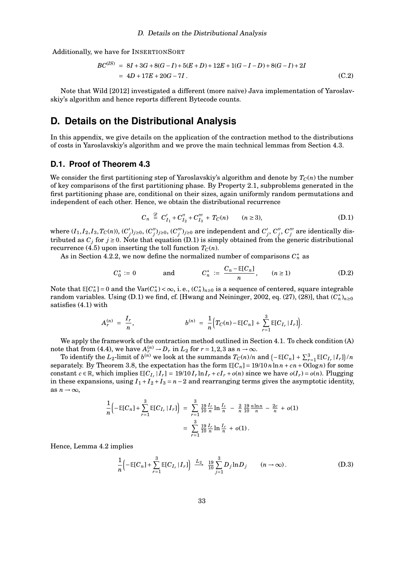Additionally, we have for INSERTIONSORT

$$
BC^{(IS)} = 8I + 3G + 8(G - I) + 5(E + D) + 12E + 1(G - I - D) + 8(G - I) + 2I
$$
  
= 4D + 17E + 20G - 7I. (C.2)

Note that [Wild](#page-40-8) [\[2012\]](#page-40-8) investigated a different (more naïve) Java implementation of Yaroslavskiy's algorithm and hence reports different Bytecode counts.

# <span id="page-32-0"></span>**D. Details on the Distributional Analysis**

In this appendix, we give details on the application of the contraction method to the distributions of costs in Yaroslavskiy's algorithm and we prove the main technical lemmas from Section [4.3.](#page-20-0)

# **D.1. Proof of Theorem [4.3](#page-20-2)**

We consider the first partitioning step of Yaroslavskiy's algorithm and denote by *TC*(*n*) the number of key comparisons of the first partitioning phase. By Property [2.1,](#page-5-0) subproblems generated in the first partitioning phase are, conditional on their sizes, again uniformly random permutations and independent of each other. Hence, we obtain the distributional recurrence

<span id="page-32-2"></span><span id="page-32-1"></span>
$$
C_n \stackrel{\mathscr{D}}{=} C'_{I_1} + C''_{I_2} + C'''_{I_3} + T_C(n) \qquad (n \ge 3), \tag{D.1}
$$

where  $(I_1,I_2,I_3,T_C(n)),$   $(C'_j)_{j\geq 0},$   $(C''_j)_{j\geq 0},$   $(C'''_j)_{j\geq 0}$  are independent and  $C'_j,$   $C''_j,$   $C'''_j$  are identically distributed as  $C_j$  for  $j \ge 0$ . Note that equation [\(D.1\)](#page-32-1) is simply obtained from the generic distributional recurrence [\(4.5\)](#page-19-1) upon inserting the toll function  $T_C(n)$ .

As in Section [4.2.2,](#page-19-3) we now define the normalized number of comparisons  $C_n^*$  as

$$
C_0^* := 0
$$
 and  $C_n^* := \frac{C_n - \mathbb{E}[C_n]}{n}$ ,  $(n \ge 1)$  (D.2)

Note that  $\mathbb{E}[C_n^*]=0$  and the Var $(C_n^*)<\infty$ , i.e.,  $(C_n^*)_{n\geq 0}$  is a sequence of centered, square integrable random variables. Using [\(D.1\)](#page-32-1) we find, cf. [\[Hwang and Neininger, 2002,](#page-39-18) eq. (27), (28)], that  $(C_n^*)_{n\geq 0}$ satisfies [\(4.1\)](#page-17-5) with

$$
A_r^{(n)} = \frac{I_r}{n}, \qquad b^{(n)} = \frac{1}{n} \Big( T_C(n) - \mathbb{E}[C_n] + \sum_{r=1}^3 \mathbb{E}[C_{I_r} | I_r] \Big).
$$

We apply the framework of the contraction method outlined in Section [4.1.](#page-16-1) To check condition [\(A\)](#page-17-0) note that from [\(4.4\)](#page-18-0), we have  $A_r^{(n)} \to D_r$  in  $L_2$  for  $r = 1, 2, 3$  as  $n \to \infty$ .

To identify the *L*<sub>2</sub>-limit of *b*<sup>(*n*)</sup> we look at the summands  $T_C(n)/n$  and  $\left(-\mathbb{E}[C_n] + \sum_{r=1}^3 \mathbb{E}[C_{I_r} | I_r]\right)/n$ separately. By Theorem [3.8,](#page-13-3) the expectation has the form  $\mathbb{E}[C_n] = 19/10 n \ln n + cn + O(\log n)$  for some constant  $c \in \mathbb{R}$ , which implies  $\mathbb{E}[C_{I_r} | I_r] = 19/10 I_r \ln I_r + cI_r + o(n)$  since we have  $o(I_r) = o(n)$ . Plugging in these expansions, using  $I_1 + I_2 + I_3 = n - 2$  and rearranging terms gives the asymptotic identity, as  $n \rightarrow \infty$ ,

$$
\frac{1}{n}\left(-\mathbb{E}[C_n] + \sum_{r=1}^3 \mathbb{E}[C_{I_r} | I_r]\right) = \sum_{r=1}^3 \frac{19}{10} \frac{I_r}{n} \ln \frac{I_r}{n} - \frac{2}{n} \frac{19}{10} \frac{n \ln n}{n} - \frac{2c}{n} + o(1)
$$

$$
= \sum_{r=1}^3 \frac{19}{10} \frac{I_r}{n} \ln \frac{I_r}{n} + o(1).
$$

Hence, Lemma [4.2](#page-20-3) implies

<span id="page-32-3"></span>
$$
\frac{1}{n}\left(-\mathbb{E}[C_n] + \sum_{r=1}^3 \mathbb{E}[C_{I_r} | I_r]\right) \xrightarrow{L_2} \frac{19}{10} \sum_{j=1}^3 D_j \ln D_j \qquad (n \to \infty).
$$
 (D.3)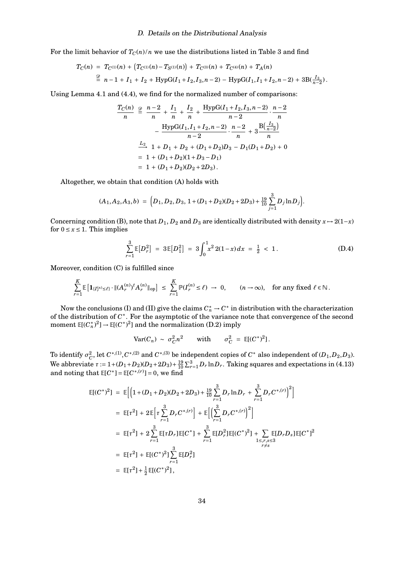For the limit behavior of  $T_C(n)/n$  we use the distributions listed in Table [3](#page-19-0) and find

$$
T_C(n) = T_{C^{(1)}}(n) + (T_{C^{(1)}}(n) - T_{S^{(1)}}(n)) + T_{C^{(3)}}(n) + T_{C^{(4)}}(n) + T_A(n)
$$
  
\n
$$
\stackrel{\mathcal{D}}{=} n - 1 + I_1 + I_2 + \text{HypG}(I_1 + I_2, I_3, n - 2) - \text{HypG}(I_1, I_1 + I_2, n - 2) + 3\text{B}(\frac{I_3}{n-2}).
$$

Using Lemma [4.1](#page-20-1) and [\(4.4\)](#page-18-0), we find for the normalized number of comparisons:

$$
\frac{T_C(n)}{n} \stackrel{?}{=} \frac{n-2}{n} + \frac{I_1}{n} + \frac{I_2}{n} + \frac{\text{HypG}(I_1 + I_2, I_3, n-2)}{n-2} \cdot \frac{n-2}{n} - \frac{\text{HypG}(I_1, I_1 + I_2, n-2)}{n-2} \cdot \frac{n-2}{n} + 3\frac{\text{B}(\frac{I_3}{n-2})}{n} - \frac{\frac{I_2}{n}}{1 + D_1 + D_2 + (D_1 + D_2)D_3 - D_1(D_1 + D_2) + 0 - 1 + (D_1 + D_2)(1 + D_3 - D_1) - 1 + (D_1 + D_2)(D_2 + 2D_3).
$$

Altogether, we obtain that condition [\(A\)](#page-17-0) holds with

$$
(A_1, A_2, A_3, b) = (D_1, D_2, D_3, 1 + (D_1 + D_2)(D_2 + 2D_3) + \frac{19}{10} \sum_{j=1}^{3} D_j \ln D_j).
$$

Concerning condition [\(B\),](#page-17-1) note that  $D_1$ ,  $D_2$  and  $D_3$  are identically distributed with density  $x \to 2(1-x)$ for  $0 \leq x \leq 1$ . This implies

<span id="page-33-0"></span>
$$
\sum_{r=1}^{3} \mathbb{E}[D_r^2] = 3\mathbb{E}[D_1^2] = 3\int_0^1 x^2 2(1-x) dx = \frac{1}{2} < 1.
$$
 (D.4)

Moreover, condition [\(C\)](#page-17-3) is fulfilled since

$$
\sum_{r=1}^K \mathbb{E}\left[\mathbf{1}_{\{I_r^{(n)}\leq\ell\}}\cdot||(A_r^{(n)})^t A_r^{(n)}\|_{\text{op}}\right] \leq \sum_{r=1}^K \mathbb{P}(I_r^{(n)}\leq\ell) \to 0, \quad (n\to\infty), \text{ for any fixed }\ell\in\mathbb{N}.
$$

Now the conclusions [\(I\)](#page-17-4) and [\(II\)](#page-17-6) give the claims  $C_n^* \to C^*$  in distribution with the characterization of the distribution of *C* ∗ . For the asymptotic of the variance note that convergence of the second moment  $\mathbb{E}[(C_n^*)^2] \to \mathbb{E}[(C^*)^2]$  and the normalization [\(D.2\)](#page-32-2) imply

$$
Var(C_n) \sim \sigma_C^2 n^2 \quad \text{with} \quad \sigma_C^2 = \mathbb{E}[(C^*)^2].
$$

To identify  $\sigma_C^2$ , let  $C^{*,(1)}, C^{*,(2)}$  and  $C^{*,(3)}$  be independent copies of  $C^*$  also independent of  $(D_1, D_2, D_3)$ . We abbreviate  $τ := 1 + (D_1 + D_2)(D_2 + 2D_3) + \frac{19}{10} \sum_{r=1}^3 D_r \ln D_r$ . Taking squares and expectations in [\(4.13\)](#page-20-4) and noting that  $\mathbb{E}[C^*] = \mathbb{E}[C^{*,(r)}] = 0$ , we find

$$
\mathbb{E}[(C^*)^2] = \mathbb{E}\Big[\Big(1+(D_1+D_2)(D_2+2D_3)+\frac{19}{10}\sum_{r=1}^3 D_r \ln D_r + \sum_{r=1}^3 D_r C^{*(r)}\Big)^2\Big]
$$
  
\n
$$
= \mathbb{E}[\tau^2] + 2\mathbb{E}\Big[\tau \sum_{r=1}^3 D_r C^{*(r)}\Big] + \mathbb{E}\Big[\Big(\sum_{r=1}^3 D_r C^{*(r)}\Big)^2\Big]
$$
  
\n
$$
= \mathbb{E}[\tau^2] + 2\sum_{r=1}^3 \mathbb{E}[\tau D_r]\mathbb{E}[C^*] + \sum_{r=1}^3 \mathbb{E}[D_r^2]\mathbb{E}[(C^*)^2] + \sum_{\substack{1 \le r,s \le 3 \\ r \ne s}} \mathbb{E}[D_r D_s]\mathbb{E}[C^*]^2
$$
  
\n
$$
= \mathbb{E}[\tau^2] + \mathbb{E}[(C^*)^2]\sum_{r=1}^3 \mathbb{E}[D_r^2]
$$
  
\n
$$
= \mathbb{E}[\tau^2] + \frac{1}{2}\mathbb{E}[(C^*)^2],
$$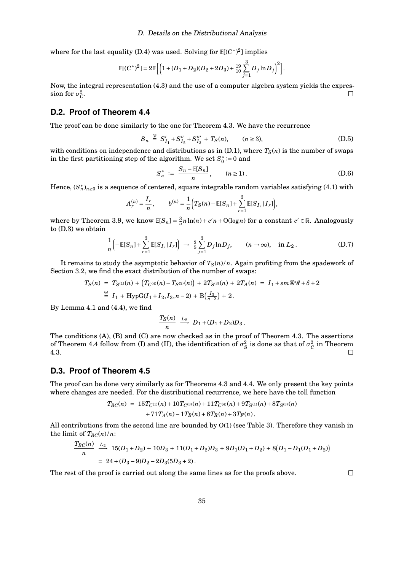#### D. Details on the Distributional Analysis

where for the last equality [\(D.4\)](#page-33-0) was used. Solving for  $\mathbb{E}[(C^*)^2]$  implies

$$
\mathbb{E}[(C^*)^2] = 2\mathbb{E}\Big[\Big(1+(D_1+D_2)(D_2+2D_3) + \frac{19}{10}\sum_{j=1}^3 D_j\ln D_j\Big)^2\Big].
$$

Now, the integral representation [\(4.3\)](#page-18-1) and the use of a computer algebra system yields the expression for  $\sigma_C^2$ .  $\Box$ 

### **D.2. Proof of Theorem [4.4](#page-21-1)**

The proof can be done similarly to the one for Theorem [4.3.](#page-20-2) We have the recurrence

$$
S_n \stackrel{\mathscr{D}}{=} S'_{I_1} + S''_{I_2} + S''_{I_3} + T_S(n), \qquad (n \ge 3), \tag{D.5}
$$

with conditions on independence and distributions as in  $(D.1)$ , where  $T_S(n)$  is the number of swaps in the first partitioning step of the algorithm. We set  $S^*_0 := 0$  and

<span id="page-34-0"></span>
$$
S_n^* := \frac{S_n - \mathbb{E}[S_n]}{n}, \qquad (n \ge 1).
$$
 (D.6)

Hence,  $(S_n^*)_{n\geq 0}$  is a sequence of centered, square integrable random variables satisfying [\(4.1\)](#page-17-5) with

$$
A_r^{(n)} = \frac{I_r}{n}, \qquad b^{(n)} = \frac{1}{n} \Big( T_S(n) - \mathbb{E}[S_n] + \sum_{r=1}^3 \mathbb{E}[S_{I_r} | I_r] \Big),
$$

where by Theorem [3.9,](#page-14-3) we know  $\mathbb{E}[S_n] = \frac{3}{5}n \ln(n) + c'n + O(\log n)$  for a constant  $c' \in \mathbb{R}$ . Analogously to [\(D.3\)](#page-32-3) we obtain

$$
\frac{1}{n} \Big( -\mathbb{E}[S_n] + \sum_{r=1}^3 \mathbb{E}[S_{I_r} | I_r] \Big) \to \frac{3}{5} \sum_{j=1}^3 D_j \ln D_j, \qquad (n \to \infty), \quad \text{in } L_2. \tag{D.7}
$$

It remains to study the asymptotic behavior of  $T_S(n)/n$ . Again profiting from the spadework of Section [3.2,](#page-7-2) we find the exact distribution of the number of swaps:

$$
T_S(n) = T_{S^{(1)}}(n) + (T_{C^{(4)}}(n) - T_{S^{(3)}}(n)) + 2T_{S^{(3)}}(n) + 2T_A(n) = I_1 + sm@ \mathscr{G} + \delta + 2
$$

$$
\stackrel{\mathscr{D}}{=} I_1 + \text{HypG}(I_1 + I_2, I_3, n-2) + \text{B}\left(\frac{I_3}{n-2}\right) + 2\,.
$$

By Lemma [4.1](#page-20-1) and [\(4.4\)](#page-18-0), we find

$$
\frac{T_S(n)}{n} \stackrel{L_2}{\longrightarrow} D_1 + (D_1 + D_2)D_3.
$$

The conditions [\(A\),](#page-17-0) [\(B\)](#page-17-1) and [\(C\)](#page-17-3) are now checked as in the proof of Theorem [4.3.](#page-20-2) The assertions of Theorem [4.4](#page-21-1) follow from [\(I\)](#page-17-4) and [\(II\),](#page-17-6) the identification of  $\sigma_S^2$  is done as that of  $\sigma_C^2$  in Theorem [4.3.](#page-20-2)  $\Box$ 

# **D.3. Proof of Theorem [4.5](#page-21-2)**

The proof can be done very similarly as for Theorems [4.3](#page-20-2) and [4.4.](#page-21-1) We only present the key points where changes are needed. For the distributional recurrence, we here have the toll function

$$
T_{BC}(n) = 15T_{C^{(1)}}(n) + 10T_{C^{(3)}}(n) + 11T_{C^{(4)}}(n) + 9T_{S^{(1)}}(n) + 8T_{S^{(3)}}(n) + 71T_A(n) - 1T_B(n) + 6T_R(n) + 3T_F(n).
$$

All contributions from the second line are bounded by O(1) (see Table [3\)](#page-19-0). Therefore they vanish in the limit of  $T_{BC}(n)/n$ :

$$
\frac{T_{BC}(n)}{n} \xrightarrow{L_2} 15(D_1 + D_2) + 10D_3 + 11(D_1 + D_2)D_3 + 9D_1(D_1 + D_2) + 8(D_1 - D_1(D_1 + D_2))
$$
  
= 24 + (D\_3 - 9)D\_2 - 2D\_3(5D\_3 + 2).

The rest of the proof is carried out along the same lines as for the proofs above.

 $\Box$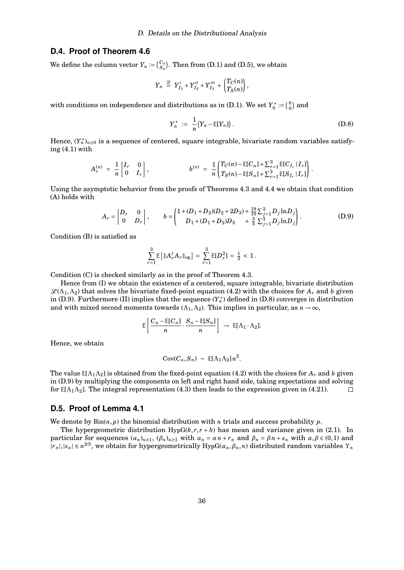# **D.4. Proof of Theorem [4.6](#page-21-0)**

We define the column vector  $Y_n := \begin{pmatrix} C_n \\ S_n \end{pmatrix}$ . Then from [\(D.1\)](#page-32-1) and [\(D.5\)](#page-34-0), we obtain

$$
Y_n \stackrel{\mathscr{D}}{=} Y'_{I_1} + Y''_{I_2} + Y'''_{I_3} + \begin{pmatrix} T_C(n) \\ T_S(n) \end{pmatrix}
$$

with conditions on independence and distributions as in [\(D.1\)](#page-32-1). We set  $Y_0^* := {0 \choose 0}$  and

$$
Y_n^* := \frac{1}{n} (Y_n - \mathbb{E}[Y_n]).
$$
 (D.8)

<span id="page-35-1"></span><span id="page-35-0"></span>,

Hence,  $(Y_n^*)_{n\geq 0}$  is a sequence of centered, square integrable, bivariate random variables satisfying [\(4.1\)](#page-17-5) with

$$
A_r^{(n)} = \frac{1}{n} \begin{bmatrix} I_r & 0 \\ 0 & I_r \end{bmatrix}, \qquad b^{(n)} = \frac{1}{n} \begin{bmatrix} T_C(n) - \mathbb{E}[C_n] + \sum_{r=1}^3 \mathbb{E}[C_{I_r} | I_r] \\ T_S(n) - \mathbb{E}[S_n] + \sum_{r=1}^3 \mathbb{E}[S_{I_r} | I_r] \end{bmatrix}.
$$

Using the asymptotic behavior from the proofs of Theorems [4.3](#page-20-2) and [4.4](#page-21-1) we obtain that condition [\(A\)](#page-17-0) holds with

$$
A_r = \begin{bmatrix} D_r & 0 \\ 0 & D_r \end{bmatrix}, \qquad b = \begin{pmatrix} 1 + (D_1 + D_2)(D_2 + 2D_3) + \frac{19}{10} \sum_{j=1}^3 D_j \ln D_j \\ D_1 + (D_1 + D_2)D_3 & + \frac{3}{5} \sum_{j=1}^3 D_j \ln D_j \end{pmatrix}.
$$
 (D.9)

Condition [\(B\)](#page-17-1) is satisfied as

$$
\sum_{r=1}^3 \mathbb{E} \left[ \| A_r^t A_r \|_{\text{op}} \right] = \sum_{r=1}^3 \mathbb{E} [D_r^2] = \frac{1}{2} < 1.
$$

Condition [\(C\)](#page-17-3) is checked similarly as in the proof of Theorem [4.3.](#page-20-2)

Hence from [\(I\)](#page-17-4) we obtain the existence of a centered, square integrable, bivariate distribution  $\mathcal{L}(\Lambda_1,\Lambda_2)$  that solves the bivariate fixed-point equation [\(4.2\)](#page-17-2) with the choices for  $A_r$  and *b* given in [\(D.9\)](#page-35-0). Furthermore [\(II\)](#page-17-6) implies that the sequence ( $Y_n^*$ ) defined in [\(D.8\)](#page-35-1) converges in distribution and with mixed second moments towards  $(\Lambda_1, \Lambda_2)$ . This implies in particular, as  $n \to \infty$ ,

$$
\mathbb{E}\left[\frac{C_n - \mathbb{E}[C_n]}{n} \cdot \frac{S_n - \mathbb{E}[S_n]}{n}\right] \rightarrow \mathbb{E}[\Lambda_1 \cdot \Lambda_2].
$$

Hence, we obtain

$$
Cov(C_n, S_n) \sim \mathbb{E}[\Lambda_1 \Lambda_2] n^2.
$$

The value  $E[\Lambda_1 \Lambda_2]$  is obtained from the fixed-point equation [\(4.2\)](#page-17-2) with the choices for  $A_r$  and *b* given in [\(D.9\)](#page-35-0) by multiplying the components on left and right hand side, taking expectations and solving for  $E[\Lambda_1 \Lambda_2]$ . The integral representation [\(4.3\)](#page-18-1) then leads to the expression given in [\(4.21\)](#page-21-3).  $\Box$ 

# **D.5. Proof of Lemma [4.1](#page-20-1)**

We denote by  $\text{Bin}(n, p)$  the binomial distribution with *n* trials and success probability *p*.

The hypergeometric distribution  $HypG(k, r, r + b)$  has mean and variance given in [\(2.1\)](#page-5-2). In particular for sequences  $(\alpha_n)_{n\geq 1}$ ,  $(\beta_n)_{n\geq 1}$  with  $\alpha_n = \alpha n + r_n$  and  $\beta_n = \beta n + s_n$  with  $\alpha, \beta \in (0,1)$  and  $|r_n|, |s_n| \le n^{2/3}$ , we obtain for hypergeometrically HypG( $\alpha_n, \beta_n, n$ ) distributed random variables  $\Upsilon_n$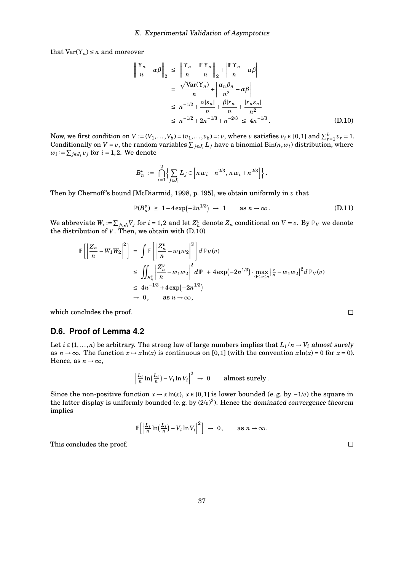#### E. Experimental Validation of Asymptotics

that  $Var(Y_n) \leq n$  and moreover

$$
\left\| \frac{\Upsilon_n}{n} - \alpha \beta \right\|_2 \le \left\| \frac{\Upsilon_n}{n} - \frac{\mathbb{E} \Upsilon_n}{n} \right\|_2 + \left\| \frac{\mathbb{E} \Upsilon_n}{n} - \alpha \beta \right\|_2
$$

$$
= \frac{\sqrt{\text{Var}(\Upsilon_n)}}{n} + \left| \frac{\alpha_n \beta_n}{n^2} - \alpha \beta \right|_2
$$

$$
\le n^{-1/2} + \frac{\alpha |s_n|}{n} + \frac{\beta |r_n|}{n} + \frac{|r_n s_n|}{n^2}
$$

$$
\le n^{-1/2} + 2n^{-1/3} + n^{-2/3} \le 4n^{-1/3}.
$$
 (D.10)

Now, we first condition on  $V := (V_1, \ldots, V_b) = (v_1, \ldots, v_b) =: v$ , where *v* satisfies  $v_i \in [0,1]$  and  $\sum_{r=1}^b v_r = 1$ . Conditionally on  $V = v$ , the random variables  $\sum_{j \in J_i} L_j$  have a binomial Bin(*n*,*w<sub>i</sub>*) distribution, where  $w_i$  := ∑<sub>*j*∈*J*<sub>*i*</sub></sub>  $v_j$  for  $i = 1, 2$ . We denote

$$
B_n^v := \bigcap_{i=1}^2 \Big\{ \sum_{j \in J_i} L_j \in \Big[ n w_i - n^{2/3}, n w_i + n^{2/3} \Big] \Big\}.
$$

Then by Chernoff's bound [\[McDiarmid, 1998,](#page-40-19) p. 195], we obtain uniformly in *v* that

$$
\mathbb{P}(B_n^v) \ge 1 - 4\exp\left(-2n^{1/3}\right) \to 1 \qquad \text{as } n \to \infty. \tag{D.11}
$$

We abbreviate  $W_i := \sum_{j \in J_i} V_j$  for  $i = 1, 2$  and let  $Z_n^v$  denote  $Z_n$  conditional on  $V = v$ . By  $\mathbb{P}_V$  we denote the distribution of  $V$ . Then, we obtain with  $(D.10)$ 

$$
\mathbb{E}\left[\left|\frac{Z_n}{n} - W_1 W_2\right|^2\right] = \int \mathbb{E}\left[\left|\frac{Z_n^v}{n} - w_1 w_2\right|^2\right] d\mathbb{P}_V(v)
$$
\n
$$
\leq \iint_{B_n^v} \left|\frac{Z_n^v}{n} - w_1 w_2\right|^2 d\mathbb{P} + 4 \exp(-2n^{1/3}) \cdot \max_{0 \leq z \leq n} \left|\frac{z}{n} - w_1 w_2\right|^2 d\mathbb{P}_V(v)
$$
\n
$$
\leq 4n^{-1/3} + 4 \exp(-2n^{1/3})
$$
\n
$$
\to 0, \qquad \text{as } n \to \infty,
$$

which concludes the proof.

# **D.6. Proof of Lemma [4.2](#page-20-3)**

Let  $i \in \{1,...,n\}$  be arbitrary. The strong law of large numbers implies that  $L_i/n \rightarrow V_i$  almost surely as  $n \to \infty$ . The function  $x \mapsto x \ln(x)$  is continuous on [0,1] (with the convention  $x \ln(x) = 0$  for  $x = 0$ ). Hence, as  $n \to \infty$ ,

$$
\left|\frac{L_i}{n}\ln\left(\frac{L_i}{n}\right)-V_i\ln V_i\right|^2\,\,\to\,\,0\qquad\text{almost surely}.
$$

Since the non-positive function  $x \mapsto x \ln(x)$ ,  $x \in [0,1]$  is lower bounded (e.g. by  $-1/e$ ) the square in the latter display is uniformly bounded (e.g. by  $(2/e)^2$ ). Hence the dominated convergence theorem implies

$$
\mathbb{E}\Big[\Big|\frac{L_i}{n}\ln\Big(\frac{L_i}{n}\Big)-V_i\ln V_i\Big|^2\Big]\ \to\ 0,\qquad\text{as }n\to\infty\,.
$$

This concludes the proof.

 $\Box$ 

<span id="page-36-0"></span> $\Box$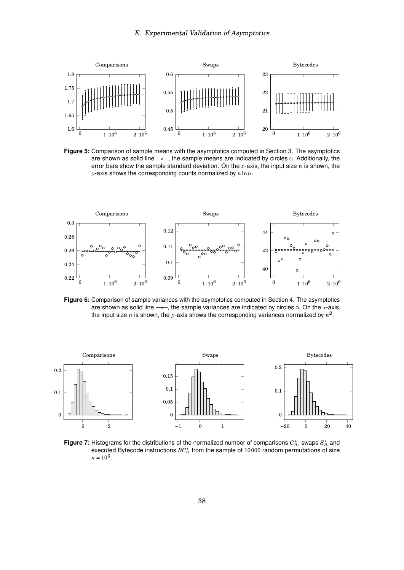# E. Experimental Validation of Asymptotics



<span id="page-37-0"></span>**Figure 5:** Comparison of sample means with the asymptotics computed in Section [3.](#page-6-0) The asymptotics are shown as solid line  $\rightarrow$ , the sample means are indicated by circles  $\circ$ . Additionally, the error bars show the sample standard deviation. On the *x*-axis, the input size *n* is shown, the *y*-axis shows the corresponding counts normalized by *n*ln*n*.



<span id="page-37-1"></span>**Figure 6:** Comparison of sample variances with the asymptotics computed in Section [4.](#page-16-0) The asymptotics are shown as solid line  $\rightarrow$ , the sample variances are indicated by circles  $\circ$ . On the *x*-axis, the input size *n* is shown, the *y*-axis shows the corresponding variances normalized by *n* 2 .



<span id="page-37-2"></span>**Figure 7:** Histograms for the distributions of the normalized number of comparisons  $C_n^*$ , swaps  $S_n^*$  and executed Bytecode instructions  $BC_n^*$  from the sample of 10000 random permutations of size  $n = 10^6$ .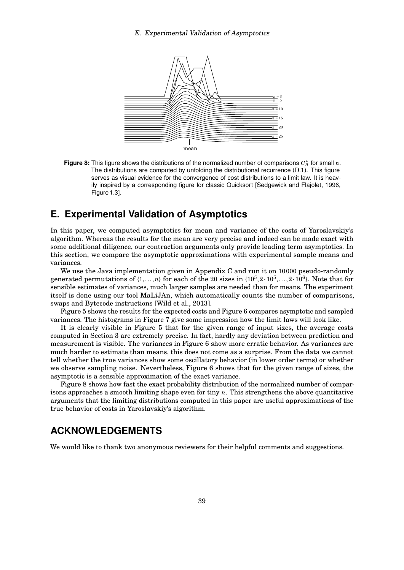#### E. Experimental Validation of Asymptotics



<span id="page-38-1"></span>**Figure 8:** This figure shows the distributions of the normalized number of comparisons  $C_n^*$  for small  $n$ . The distributions are computed by unfolding the distributional recurrence [\(D.1\)](#page-32-1). This figure serves as visual evidence for the convergence of cost distributions to a limit law. It is heavily inspired by a corresponding figure for classic Quicksort [\[Sedgewick and Flajolet, 1996,](#page-40-20) Figure 1.3].

# <span id="page-38-0"></span>**E. Experimental Validation of Asymptotics**

In this paper, we computed asymptotics for mean and variance of the costs of Yaroslavskiy's algorithm. Whereas the results for the mean are very precise and indeed can be made exact with some additional diligence, our contraction arguments only provide leading term asymptotics. In this section, we compare the asymptotic approximations with experimental sample means and variances.

We use the Java implementation given in Appendix [C](#page-30-0) and run it on 10000 pseudo-randomly generated permutations of  $\{1,\ldots,n\}$  for each of the 20 sizes in  $\{10^5, 2\cdot 10^5, \ldots, 2\cdot 10^6\}$ . Note that for sensible estimates of variances, much larger samples are needed than for means. The experiment itself is done using our tool MaLiJAn, which automatically counts the number of comparisons, swaps and Bytecode instructions [\[Wild et al., 2013\]](#page-41-0).

Figure [5](#page-37-0) shows the results for the expected costs and Figure [6](#page-37-1) compares asymptotic and sampled variances. The histograms in Figure [7](#page-37-2) give some impression how the limit laws will look like.

It is clearly visible in Figure [5](#page-37-0) that for the given range of input sizes, the average costs computed in Section [3](#page-6-0) are extremely precise. In fact, hardly any deviation between prediction and measurement is visible. The variances in Figure [6](#page-37-1) show more erratic behavior. As variances are much harder to estimate than means, this does not come as a surprise. From the data we cannot tell whether the true variances show some oscillatory behavior (in lower order terms) or whether we observe sampling noise. Nevertheless, Figure [6](#page-37-1) shows that for the given range of sizes, the asymptotic is a sensible approximation of the exact variance.

Figure [8](#page-38-1) shows how fast the exact probability distribution of the normalized number of comparisons approaches a smooth limiting shape even for tiny *n*. This strengthens the above quantitative arguments that the limiting distributions computed in this paper are useful approximations of the true behavior of costs in Yaroslavskiy's algorithm.

# **ACKNOWLEDGEMENTS**

We would like to thank two anonymous reviewers for their helpful comments and suggestions.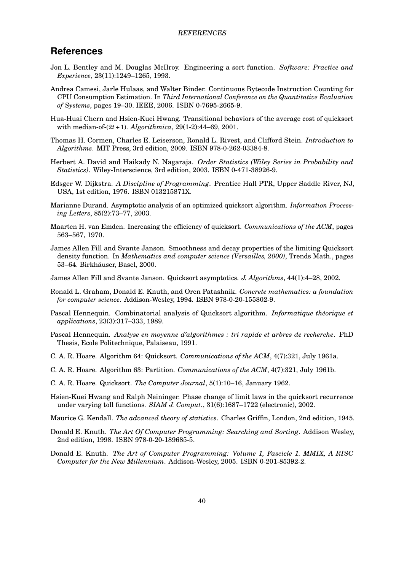# **References**

- <span id="page-39-11"></span>Jon L. Bentley and M. Douglas McIlroy. Engineering a sort function. *Software: Practice and Experience*, 23(11):1249–1265, 1993.
- <span id="page-39-14"></span>Andrea Camesi, Jarle Hulaas, and Walter Binder. Continuous Bytecode Instruction Counting for CPU Consumption Estimation. In *Third International Conference on the Quantitative Evaluation of Systems*, pages 19–30. IEEE, 2006. ISBN 0-7695-2665-9.
- <span id="page-39-8"></span>Hua-Huai Chern and Hsien-Kuei Hwang. Transitional behaviors of the average cost of quicksort with median-of-(2*t*+1). *Algorithmica*, 29(1-2):44–69, 2001.
- <span id="page-39-3"></span>Thomas H. Cormen, Charles E. Leiserson, Ronald L. Rivest, and Clifford Stein. *Introduction to Algorithms*. MIT Press, 3rd edition, 2009. ISBN 978-0-262-03384-8.
- <span id="page-39-17"></span>Herbert A. David and Haikady N. Nagaraja. *Order Statistics (Wiley Series in Probability and Statistics)*. Wiley-Interscience, 3rd edition, 2003. ISBN 0-471-38926-9.
- <span id="page-39-15"></span>Edsger W. Dijkstra. *A Discipline of Programming*. Prentice Hall PTR, Upper Saddle River, NJ, USA, 1st edition, 1976. ISBN 013215871X.
- <span id="page-39-9"></span>Marianne Durand. Asymptotic analysis of an optimized quicksort algorithm. *Information Processing Letters*, 85(2):73–77, 2003.
- <span id="page-39-10"></span>Maarten H. van Emden. Increasing the efficiency of quicksort. *Communications of the ACM*, pages 563–567, 1970.
- <span id="page-39-7"></span>James Allen Fill and Svante Janson. Smoothness and decay properties of the limiting Quicksort density function. In *Mathematics and computer science (Versailles, 2000)*, Trends Math., pages 53–64. Birkhäuser, Basel, 2000.
- <span id="page-39-6"></span>James Allen Fill and Svante Janson. Quicksort asymptotics. *J. Algorithms*, 44(1):4–28, 2002.
- <span id="page-39-19"></span>Ronald L. Graham, Donald E. Knuth, and Oren Patashnik. *Concrete mathematics: a foundation for computer science*. Addison-Wesley, 1994. ISBN 978-0-20-155802-9.
- <span id="page-39-5"></span>Pascal Hennequin. Combinatorial analysis of Quicksort algorithm. *Informatique théorique et applications*, 23(3):317–333, 1989.
- <span id="page-39-12"></span>Pascal Hennequin. *Analyse en moyenne d'algorithmes : tri rapide et arbres de recherche*. PhD Thesis, Ecole Politechnique, Palaiseau, 1991.
- <span id="page-39-0"></span>C. A. R. Hoare. Algorithm 64: Quicksort. *Communications of the ACM*, 4(7):321, July 1961a.
- <span id="page-39-1"></span>C. A. R. Hoare. Algorithm 63: Partition. *Communications of the ACM*, 4(7):321, July 1961b.
- <span id="page-39-2"></span>C. A. R. Hoare. Quicksort. *The Computer Journal*, 5(1):10–16, January 1962.
- <span id="page-39-18"></span>Hsien-Kuei Hwang and Ralph Neininger. Phase change of limit laws in the quicksort recurrence under varying toll functions. *SIAM J. Comput.*, 31(6):1687–1722 (electronic), 2002.
- <span id="page-39-16"></span>Maurice G. Kendall. *The advanced theory of statistics*. Charles Griffin, London, 2nd edition, 1945.
- <span id="page-39-4"></span>Donald E. Knuth. *The Art Of Computer Programming: Searching and Sorting*. Addison Wesley, 2nd edition, 1998. ISBN 978-0-20-189685-5.
- <span id="page-39-13"></span>Donald E. Knuth. *The Art of Computer Programming: Volume 1, Fascicle 1. MMIX, A RISC Computer for the New Millennium*. Addison-Wesley, 2005. ISBN 0-201-85392-2.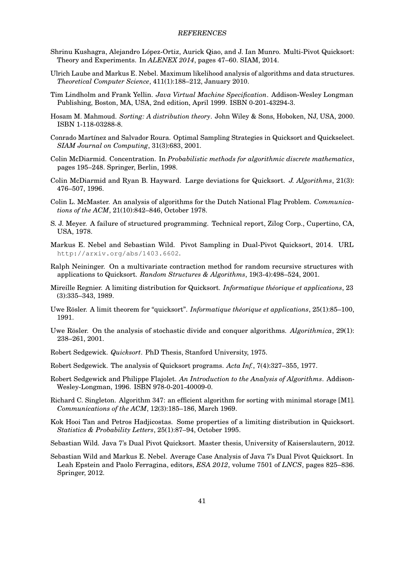#### REFERENCES

- <span id="page-40-17"></span>Shrinu Kushagra, Alejandro López-Ortiz, Aurick Qiao, and J. Ian Munro. Multi-Pivot Quicksort: Theory and Experiments. In *ALENEX 2014*, pages 47–60. SIAM, 2014.
- <span id="page-40-18"></span>Ulrich Laube and Markus E. Nebel. Maximum likelihood analysis of algorithms and data structures. *Theoretical Computer Science*, 411(1):188–212, January 2010.
- <span id="page-40-10"></span>Tim Lindholm and Frank Yellin. *Java Virtual Machine Specification*. Addison-Wesley Longman Publishing, Boston, MA, USA, 2nd edition, April 1999. ISBN 0-201-43294-3.
- <span id="page-40-14"></span>Hosam M. Mahmoud. *Sorting: A distribution theory*. John Wiley & Sons, Hoboken, NJ, USA, 2000. ISBN 1-118-03288-8.
- <span id="page-40-7"></span>Conrado Martínez and Salvador Roura. Optimal Sampling Strategies in Quicksort and Quickselect. *SIAM Journal on Computing*, 31(3):683, 2001.
- <span id="page-40-19"></span>Colin McDiarmid. Concentration. In *Probabilistic methods for algorithmic discrete mathematics*, pages 195–248. Springer, Berlin, 1998.
- <span id="page-40-2"></span>Colin McDiarmid and Ryan B. Hayward. Large deviations for Quicksort. *J. Algorithms*, 21(3): 476–507, 1996.
- <span id="page-40-13"></span>Colin L. McMaster. An analysis of algorithms for the Dutch National Flag Problem. *Communications of the ACM*, 21(10):842–846, October 1978.
- <span id="page-40-12"></span>S. J. Meyer. A failure of structured programming. Technical report, Zilog Corp., Cupertino, CA, USA, 1978.
- <span id="page-40-11"></span>Markus E. Nebel and Sebastian Wild. Pivot Sampling in Dual-Pivot Quicksort, 2014. URL <http://arxiv.org/abs/1403.6602>.
- <span id="page-40-15"></span>Ralph Neininger. On a multivariate contraction method for random recursive structures with applications to Quicksort. *Random Structures & Algorithms*, 19(3-4):498–524, 2001.
- <span id="page-40-3"></span>Mireille Regnier. A limiting distribution for Quicksort. *Informatique théorique et applications*, 23 (3):335–343, 1989.
- <span id="page-40-4"></span>Uwe Rösler. A limit theorem for "quicksort". *Informatique théorique et applications*, 25(1):85–100, 1991.
- <span id="page-40-16"></span>Uwe Rösler. On the analysis of stochastic divide and conquer algorithms. *Algorithmica*, 29(1): 238–261, 2001.
- <span id="page-40-0"></span>Robert Sedgewick. *Quicksort*. PhD Thesis, Stanford University, 1975.
- <span id="page-40-1"></span>Robert Sedgewick. The analysis of Quicksort programs. *Acta Inf.*, 7(4):327–355, 1977.
- <span id="page-40-20"></span>Robert Sedgewick and Philippe Flajolet. *An Introduction to the Analysis of Algorithms*. Addison-Wesley-Longman, 1996. ISBN 978-0-201-40009-0.
- <span id="page-40-6"></span>Richard C. Singleton. Algorithm 347: an efficient algorithm for sorting with minimal storage [M1]. *Communications of the ACM*, 12(3):185–186, March 1969.
- <span id="page-40-5"></span>Kok Hooi Tan and Petros Hadjicostas. Some properties of a limiting distribution in Quicksort. *Statistics & Probability Letters*, 25(1):87–94, October 1995.
- <span id="page-40-8"></span>Sebastian Wild. Java 7's Dual Pivot Quicksort. Master thesis, University of Kaiserslautern, 2012.
- <span id="page-40-9"></span>Sebastian Wild and Markus E. Nebel. Average Case Analysis of Java 7's Dual Pivot Quicksort. In Leah Epstein and Paolo Ferragina, editors, *ESA 2012*, volume 7501 of *LNCS*, pages 825–836. Springer, 2012.